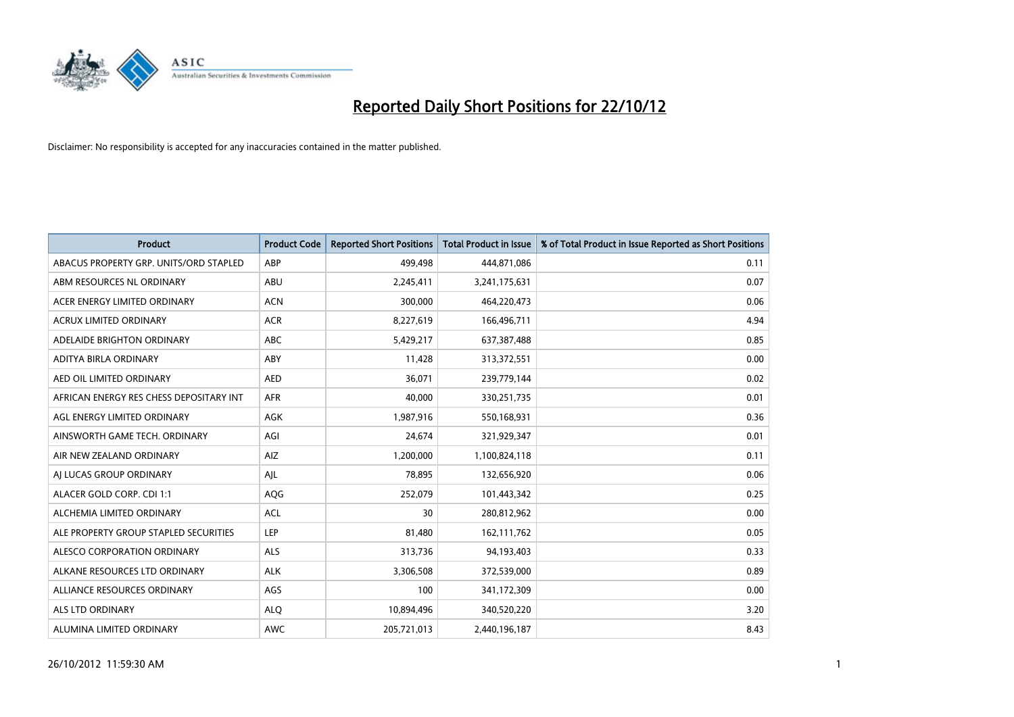

| <b>Product</b>                          | <b>Product Code</b> | <b>Reported Short Positions</b> | <b>Total Product in Issue</b> | % of Total Product in Issue Reported as Short Positions |
|-----------------------------------------|---------------------|---------------------------------|-------------------------------|---------------------------------------------------------|
| ABACUS PROPERTY GRP. UNITS/ORD STAPLED  | ABP                 | 499,498                         | 444,871,086                   | 0.11                                                    |
| ABM RESOURCES NL ORDINARY               | ABU                 | 2,245,411                       | 3,241,175,631                 | 0.07                                                    |
| ACER ENERGY LIMITED ORDINARY            | <b>ACN</b>          | 300,000                         | 464,220,473                   | 0.06                                                    |
| ACRUX LIMITED ORDINARY                  | <b>ACR</b>          | 8,227,619                       | 166,496,711                   | 4.94                                                    |
| ADELAIDE BRIGHTON ORDINARY              | <b>ABC</b>          | 5,429,217                       | 637,387,488                   | 0.85                                                    |
| ADITYA BIRLA ORDINARY                   | ABY                 | 11,428                          | 313,372,551                   | 0.00                                                    |
| AED OIL LIMITED ORDINARY                | <b>AED</b>          | 36.071                          | 239,779,144                   | 0.02                                                    |
| AFRICAN ENERGY RES CHESS DEPOSITARY INT | <b>AFR</b>          | 40,000                          | 330,251,735                   | 0.01                                                    |
| AGL ENERGY LIMITED ORDINARY             | AGK                 | 1,987,916                       | 550,168,931                   | 0.36                                                    |
| AINSWORTH GAME TECH. ORDINARY           | AGI                 | 24,674                          | 321,929,347                   | 0.01                                                    |
| AIR NEW ZEALAND ORDINARY                | AIZ                 | 1,200,000                       | 1,100,824,118                 | 0.11                                                    |
| AI LUCAS GROUP ORDINARY                 | AJL                 | 78,895                          | 132,656,920                   | 0.06                                                    |
| ALACER GOLD CORP. CDI 1:1               | AQG                 | 252,079                         | 101,443,342                   | 0.25                                                    |
| ALCHEMIA LIMITED ORDINARY               | <b>ACL</b>          | 30                              | 280,812,962                   | 0.00                                                    |
| ALE PROPERTY GROUP STAPLED SECURITIES   | LEP                 | 81,480                          | 162, 111, 762                 | 0.05                                                    |
| ALESCO CORPORATION ORDINARY             | ALS                 | 313,736                         | 94,193,403                    | 0.33                                                    |
| ALKANE RESOURCES LTD ORDINARY           | <b>ALK</b>          | 3,306,508                       | 372,539,000                   | 0.89                                                    |
| ALLIANCE RESOURCES ORDINARY             | AGS                 | 100                             | 341,172,309                   | 0.00                                                    |
| <b>ALS LTD ORDINARY</b>                 | <b>ALO</b>          | 10,894,496                      | 340,520,220                   | 3.20                                                    |
| ALUMINA LIMITED ORDINARY                | <b>AWC</b>          | 205,721,013                     | 2,440,196,187                 | 8.43                                                    |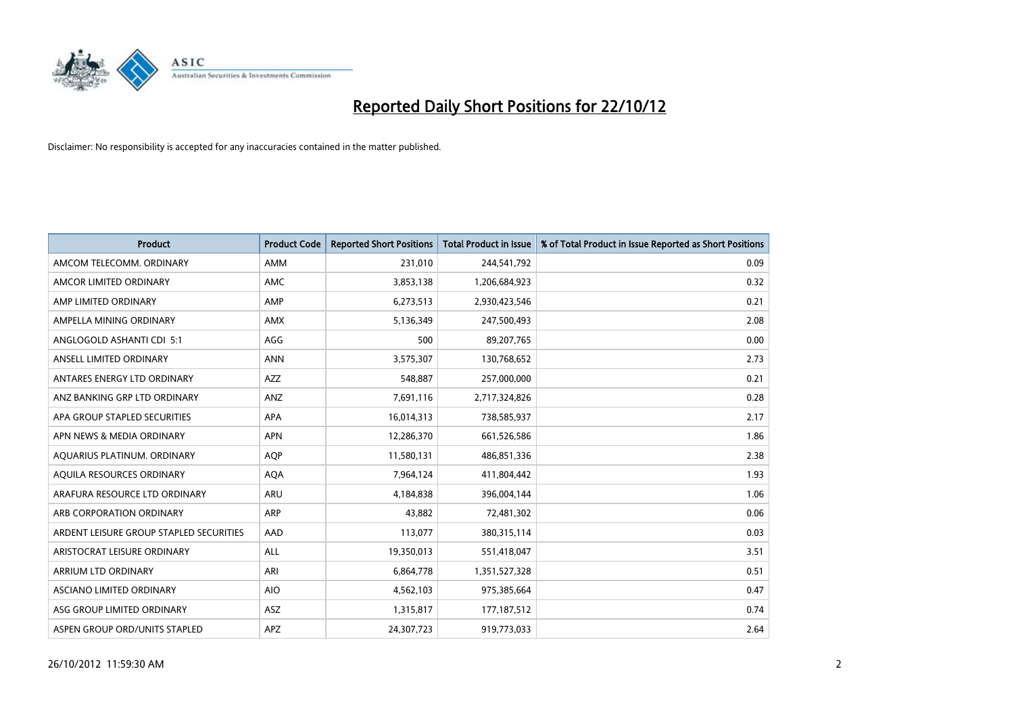

| <b>Product</b>                          | <b>Product Code</b> | <b>Reported Short Positions</b> | <b>Total Product in Issue</b> | % of Total Product in Issue Reported as Short Positions |
|-----------------------------------------|---------------------|---------------------------------|-------------------------------|---------------------------------------------------------|
| AMCOM TELECOMM, ORDINARY                | <b>AMM</b>          | 231,010                         | 244,541,792                   | 0.09                                                    |
| AMCOR LIMITED ORDINARY                  | <b>AMC</b>          | 3,853,138                       | 1,206,684,923                 | 0.32                                                    |
| AMP LIMITED ORDINARY                    | AMP                 | 6,273,513                       | 2,930,423,546                 | 0.21                                                    |
| AMPELLA MINING ORDINARY                 | <b>AMX</b>          | 5,136,349                       | 247,500,493                   | 2.08                                                    |
| ANGLOGOLD ASHANTI CDI 5:1               | AGG                 | 500                             | 89,207,765                    | 0.00                                                    |
| ANSELL LIMITED ORDINARY                 | <b>ANN</b>          | 3,575,307                       | 130,768,652                   | 2.73                                                    |
| ANTARES ENERGY LTD ORDINARY             | <b>AZZ</b>          | 548,887                         | 257,000,000                   | 0.21                                                    |
| ANZ BANKING GRP LTD ORDINARY            | ANZ                 | 7,691,116                       | 2,717,324,826                 | 0.28                                                    |
| APA GROUP STAPLED SECURITIES            | <b>APA</b>          | 16,014,313                      | 738,585,937                   | 2.17                                                    |
| APN NEWS & MEDIA ORDINARY               | <b>APN</b>          | 12,286,370                      | 661,526,586                   | 1.86                                                    |
| AQUARIUS PLATINUM. ORDINARY             | <b>AOP</b>          | 11,580,131                      | 486,851,336                   | 2.38                                                    |
| AQUILA RESOURCES ORDINARY               | <b>AQA</b>          | 7,964,124                       | 411,804,442                   | 1.93                                                    |
| ARAFURA RESOURCE LTD ORDINARY           | ARU                 | 4,184,838                       | 396,004,144                   | 1.06                                                    |
| ARB CORPORATION ORDINARY                | <b>ARP</b>          | 43,882                          | 72,481,302                    | 0.06                                                    |
| ARDENT LEISURE GROUP STAPLED SECURITIES | AAD                 | 113,077                         | 380,315,114                   | 0.03                                                    |
| ARISTOCRAT LEISURE ORDINARY             | ALL                 | 19,350,013                      | 551,418,047                   | 3.51                                                    |
| ARRIUM LTD ORDINARY                     | ARI                 | 6,864,778                       | 1,351,527,328                 | 0.51                                                    |
| ASCIANO LIMITED ORDINARY                | <b>AIO</b>          | 4,562,103                       | 975,385,664                   | 0.47                                                    |
| ASG GROUP LIMITED ORDINARY              | <b>ASZ</b>          | 1,315,817                       | 177, 187, 512                 | 0.74                                                    |
| ASPEN GROUP ORD/UNITS STAPLED           | APZ                 | 24,307,723                      | 919,773,033                   | 2.64                                                    |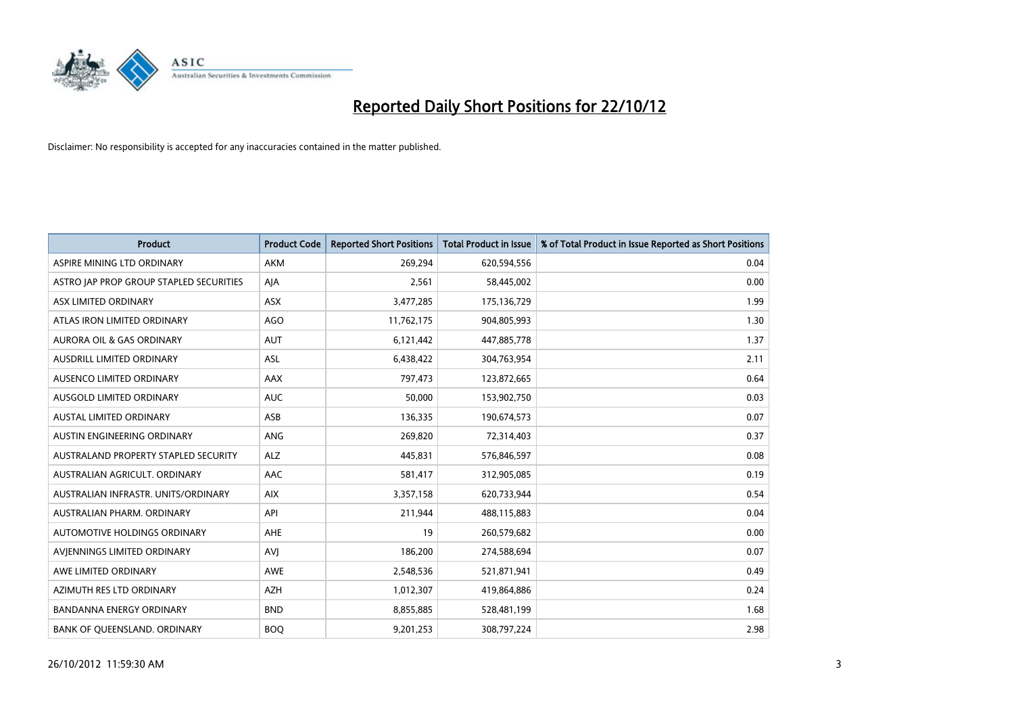

| <b>Product</b>                          | <b>Product Code</b> | <b>Reported Short Positions</b> | <b>Total Product in Issue</b> | % of Total Product in Issue Reported as Short Positions |
|-----------------------------------------|---------------------|---------------------------------|-------------------------------|---------------------------------------------------------|
| ASPIRE MINING LTD ORDINARY              | <b>AKM</b>          | 269,294                         | 620,594,556                   | 0.04                                                    |
| ASTRO JAP PROP GROUP STAPLED SECURITIES | AJA                 | 2,561                           | 58,445,002                    | 0.00                                                    |
| ASX LIMITED ORDINARY                    | <b>ASX</b>          | 3,477,285                       | 175,136,729                   | 1.99                                                    |
| ATLAS IRON LIMITED ORDINARY             | AGO                 | 11,762,175                      | 904,805,993                   | 1.30                                                    |
| <b>AURORA OIL &amp; GAS ORDINARY</b>    | <b>AUT</b>          | 6,121,442                       | 447,885,778                   | 1.37                                                    |
| AUSDRILL LIMITED ORDINARY               | <b>ASL</b>          | 6,438,422                       | 304,763,954                   | 2.11                                                    |
| AUSENCO LIMITED ORDINARY                | AAX                 | 797,473                         | 123,872,665                   | 0.64                                                    |
| <b>AUSGOLD LIMITED ORDINARY</b>         | <b>AUC</b>          | 50,000                          | 153,902,750                   | 0.03                                                    |
| <b>AUSTAL LIMITED ORDINARY</b>          | ASB                 | 136,335                         | 190,674,573                   | 0.07                                                    |
| AUSTIN ENGINEERING ORDINARY             | <b>ANG</b>          | 269,820                         | 72,314,403                    | 0.37                                                    |
| AUSTRALAND PROPERTY STAPLED SECURITY    | <b>ALZ</b>          | 445,831                         | 576,846,597                   | 0.08                                                    |
| AUSTRALIAN AGRICULT. ORDINARY           | AAC                 | 581,417                         | 312,905,085                   | 0.19                                                    |
| AUSTRALIAN INFRASTR, UNITS/ORDINARY     | <b>AIX</b>          | 3,357,158                       | 620,733,944                   | 0.54                                                    |
| AUSTRALIAN PHARM, ORDINARY              | API                 | 211,944                         | 488,115,883                   | 0.04                                                    |
| AUTOMOTIVE HOLDINGS ORDINARY            | <b>AHE</b>          | 19                              | 260,579,682                   | 0.00                                                    |
| AVJENNINGS LIMITED ORDINARY             | AVJ                 | 186,200                         | 274,588,694                   | 0.07                                                    |
| AWE LIMITED ORDINARY                    | AWE                 | 2,548,536                       | 521,871,941                   | 0.49                                                    |
| AZIMUTH RES LTD ORDINARY                | <b>AZH</b>          | 1,012,307                       | 419,864,886                   | 0.24                                                    |
| <b>BANDANNA ENERGY ORDINARY</b>         | <b>BND</b>          | 8,855,885                       | 528,481,199                   | 1.68                                                    |
| BANK OF QUEENSLAND. ORDINARY            | <b>BOQ</b>          | 9,201,253                       | 308,797,224                   | 2.98                                                    |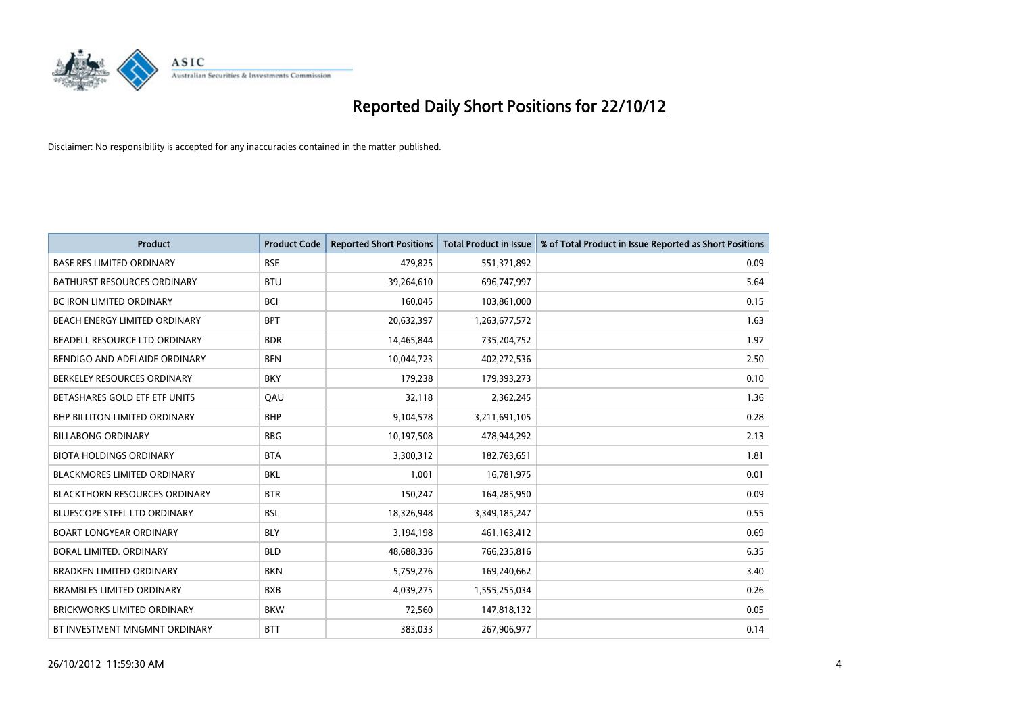

| <b>Product</b>                       | <b>Product Code</b> | <b>Reported Short Positions</b> | <b>Total Product in Issue</b> | % of Total Product in Issue Reported as Short Positions |
|--------------------------------------|---------------------|---------------------------------|-------------------------------|---------------------------------------------------------|
| <b>BASE RES LIMITED ORDINARY</b>     | <b>BSE</b>          | 479,825                         | 551,371,892                   | 0.09                                                    |
| <b>BATHURST RESOURCES ORDINARY</b>   | <b>BTU</b>          | 39,264,610                      | 696,747,997                   | 5.64                                                    |
| <b>BC IRON LIMITED ORDINARY</b>      | <b>BCI</b>          | 160,045                         | 103,861,000                   | 0.15                                                    |
| BEACH ENERGY LIMITED ORDINARY        | <b>BPT</b>          | 20,632,397                      | 1,263,677,572                 | 1.63                                                    |
| BEADELL RESOURCE LTD ORDINARY        | <b>BDR</b>          | 14,465,844                      | 735,204,752                   | 1.97                                                    |
| BENDIGO AND ADELAIDE ORDINARY        | <b>BEN</b>          | 10,044,723                      | 402,272,536                   | 2.50                                                    |
| BERKELEY RESOURCES ORDINARY          | <b>BKY</b>          | 179,238                         | 179,393,273                   | 0.10                                                    |
| BETASHARES GOLD ETF ETF UNITS        | QAU                 | 32,118                          | 2,362,245                     | 1.36                                                    |
| <b>BHP BILLITON LIMITED ORDINARY</b> | <b>BHP</b>          | 9,104,578                       | 3,211,691,105                 | 0.28                                                    |
| <b>BILLABONG ORDINARY</b>            | <b>BBG</b>          | 10,197,508                      | 478,944,292                   | 2.13                                                    |
| <b>BIOTA HOLDINGS ORDINARY</b>       | <b>BTA</b>          | 3,300,312                       | 182,763,651                   | 1.81                                                    |
| <b>BLACKMORES LIMITED ORDINARY</b>   | <b>BKL</b>          | 1,001                           | 16,781,975                    | 0.01                                                    |
| <b>BLACKTHORN RESOURCES ORDINARY</b> | <b>BTR</b>          | 150,247                         | 164,285,950                   | 0.09                                                    |
| BLUESCOPE STEEL LTD ORDINARY         | <b>BSL</b>          | 18,326,948                      | 3,349,185,247                 | 0.55                                                    |
| <b>BOART LONGYEAR ORDINARY</b>       | <b>BLY</b>          | 3,194,198                       | 461,163,412                   | 0.69                                                    |
| BORAL LIMITED. ORDINARY              | <b>BLD</b>          | 48,688,336                      | 766,235,816                   | 6.35                                                    |
| <b>BRADKEN LIMITED ORDINARY</b>      | <b>BKN</b>          | 5,759,276                       | 169,240,662                   | 3.40                                                    |
| <b>BRAMBLES LIMITED ORDINARY</b>     | <b>BXB</b>          | 4,039,275                       | 1,555,255,034                 | 0.26                                                    |
| <b>BRICKWORKS LIMITED ORDINARY</b>   | <b>BKW</b>          | 72,560                          | 147,818,132                   | 0.05                                                    |
| BT INVESTMENT MNGMNT ORDINARY        | <b>BTT</b>          | 383,033                         | 267,906,977                   | 0.14                                                    |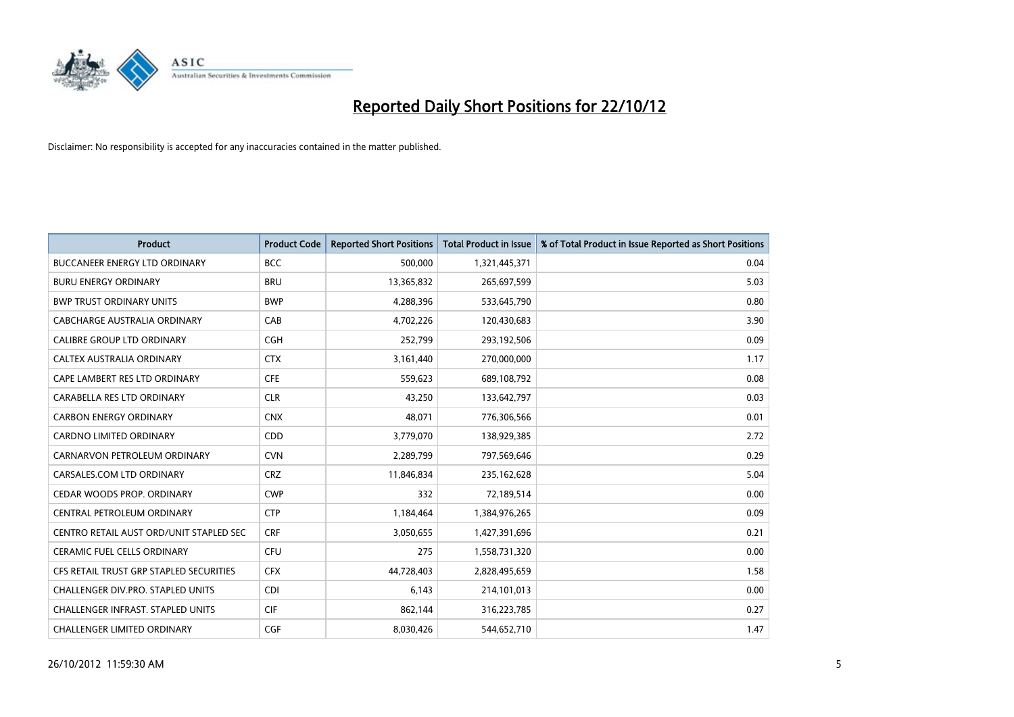

| <b>Product</b>                           | <b>Product Code</b> | <b>Reported Short Positions</b> | <b>Total Product in Issue</b> | % of Total Product in Issue Reported as Short Positions |
|------------------------------------------|---------------------|---------------------------------|-------------------------------|---------------------------------------------------------|
| <b>BUCCANEER ENERGY LTD ORDINARY</b>     | <b>BCC</b>          | 500,000                         | 1,321,445,371                 | 0.04                                                    |
| <b>BURU ENERGY ORDINARY</b>              | <b>BRU</b>          | 13,365,832                      | 265,697,599                   | 5.03                                                    |
| <b>BWP TRUST ORDINARY UNITS</b>          | <b>BWP</b>          | 4,288,396                       | 533,645,790                   | 0.80                                                    |
| CABCHARGE AUSTRALIA ORDINARY             | CAB                 | 4,702,226                       | 120,430,683                   | 3.90                                                    |
| <b>CALIBRE GROUP LTD ORDINARY</b>        | <b>CGH</b>          | 252,799                         | 293,192,506                   | 0.09                                                    |
| <b>CALTEX AUSTRALIA ORDINARY</b>         | <b>CTX</b>          | 3,161,440                       | 270,000,000                   | 1.17                                                    |
| CAPE LAMBERT RES LTD ORDINARY            | <b>CFE</b>          | 559,623                         | 689,108,792                   | 0.08                                                    |
| CARABELLA RES LTD ORDINARY               | <b>CLR</b>          | 43,250                          | 133,642,797                   | 0.03                                                    |
| <b>CARBON ENERGY ORDINARY</b>            | <b>CNX</b>          | 48,071                          | 776,306,566                   | 0.01                                                    |
| <b>CARDNO LIMITED ORDINARY</b>           | CDD                 | 3,779,070                       | 138,929,385                   | 2.72                                                    |
| CARNARVON PETROLEUM ORDINARY             | <b>CVN</b>          | 2,289,799                       | 797,569,646                   | 0.29                                                    |
| CARSALES.COM LTD ORDINARY                | <b>CRZ</b>          | 11,846,834                      | 235,162,628                   | 5.04                                                    |
| CEDAR WOODS PROP. ORDINARY               | <b>CWP</b>          | 332                             | 72,189,514                    | 0.00                                                    |
| <b>CENTRAL PETROLEUM ORDINARY</b>        | <b>CTP</b>          | 1,184,464                       | 1,384,976,265                 | 0.09                                                    |
| CENTRO RETAIL AUST ORD/UNIT STAPLED SEC  | <b>CRF</b>          | 3,050,655                       | 1,427,391,696                 | 0.21                                                    |
| <b>CERAMIC FUEL CELLS ORDINARY</b>       | <b>CFU</b>          | 275                             | 1,558,731,320                 | 0.00                                                    |
| CFS RETAIL TRUST GRP STAPLED SECURITIES  | <b>CFX</b>          | 44,728,403                      | 2,828,495,659                 | 1.58                                                    |
| CHALLENGER DIV.PRO. STAPLED UNITS        | <b>CDI</b>          | 6,143                           | 214,101,013                   | 0.00                                                    |
| <b>CHALLENGER INFRAST, STAPLED UNITS</b> | <b>CIF</b>          | 862,144                         | 316,223,785                   | 0.27                                                    |
| CHALLENGER LIMITED ORDINARY              | <b>CGF</b>          | 8,030,426                       | 544,652,710                   | 1.47                                                    |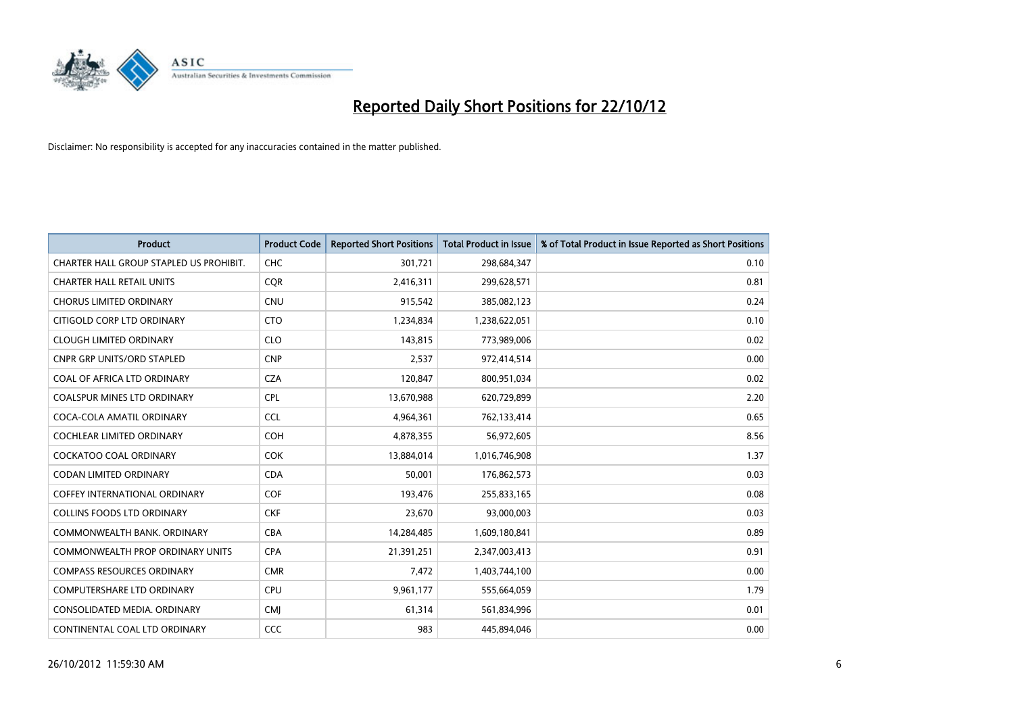

| <b>Product</b>                          | <b>Product Code</b> | <b>Reported Short Positions</b> | <b>Total Product in Issue</b> | % of Total Product in Issue Reported as Short Positions |
|-----------------------------------------|---------------------|---------------------------------|-------------------------------|---------------------------------------------------------|
| CHARTER HALL GROUP STAPLED US PROHIBIT. | <b>CHC</b>          | 301,721                         | 298,684,347                   | 0.10                                                    |
| <b>CHARTER HALL RETAIL UNITS</b>        | <b>COR</b>          | 2,416,311                       | 299,628,571                   | 0.81                                                    |
| <b>CHORUS LIMITED ORDINARY</b>          | <b>CNU</b>          | 915,542                         | 385,082,123                   | 0.24                                                    |
| CITIGOLD CORP LTD ORDINARY              | <b>CTO</b>          | 1,234,834                       | 1,238,622,051                 | 0.10                                                    |
| <b>CLOUGH LIMITED ORDINARY</b>          | <b>CLO</b>          | 143,815                         | 773,989,006                   | 0.02                                                    |
| <b>CNPR GRP UNITS/ORD STAPLED</b>       | <b>CNP</b>          | 2,537                           | 972,414,514                   | 0.00                                                    |
| COAL OF AFRICA LTD ORDINARY             | <b>CZA</b>          | 120,847                         | 800,951,034                   | 0.02                                                    |
| COALSPUR MINES LTD ORDINARY             | <b>CPL</b>          | 13,670,988                      | 620,729,899                   | 2.20                                                    |
| COCA-COLA AMATIL ORDINARY               | <b>CCL</b>          | 4,964,361                       | 762,133,414                   | 0.65                                                    |
| <b>COCHLEAR LIMITED ORDINARY</b>        | <b>COH</b>          | 4,878,355                       | 56,972,605                    | 8.56                                                    |
| COCKATOO COAL ORDINARY                  | <b>COK</b>          | 13,884,014                      | 1,016,746,908                 | 1.37                                                    |
| <b>CODAN LIMITED ORDINARY</b>           | <b>CDA</b>          | 50,001                          | 176,862,573                   | 0.03                                                    |
| COFFEY INTERNATIONAL ORDINARY           | <b>COF</b>          | 193,476                         | 255,833,165                   | 0.08                                                    |
| <b>COLLINS FOODS LTD ORDINARY</b>       | <b>CKF</b>          | 23,670                          | 93,000,003                    | 0.03                                                    |
| COMMONWEALTH BANK, ORDINARY             | <b>CBA</b>          | 14,284,485                      | 1,609,180,841                 | 0.89                                                    |
| <b>COMMONWEALTH PROP ORDINARY UNITS</b> | <b>CPA</b>          | 21,391,251                      | 2,347,003,413                 | 0.91                                                    |
| <b>COMPASS RESOURCES ORDINARY</b>       | <b>CMR</b>          | 7,472                           | 1,403,744,100                 | 0.00                                                    |
| COMPUTERSHARE LTD ORDINARY              | CPU                 | 9,961,177                       | 555,664,059                   | 1.79                                                    |
| CONSOLIDATED MEDIA, ORDINARY            | <b>CMI</b>          | 61,314                          | 561,834,996                   | 0.01                                                    |
| CONTINENTAL COAL LTD ORDINARY           | CCC                 | 983                             | 445,894,046                   | 0.00                                                    |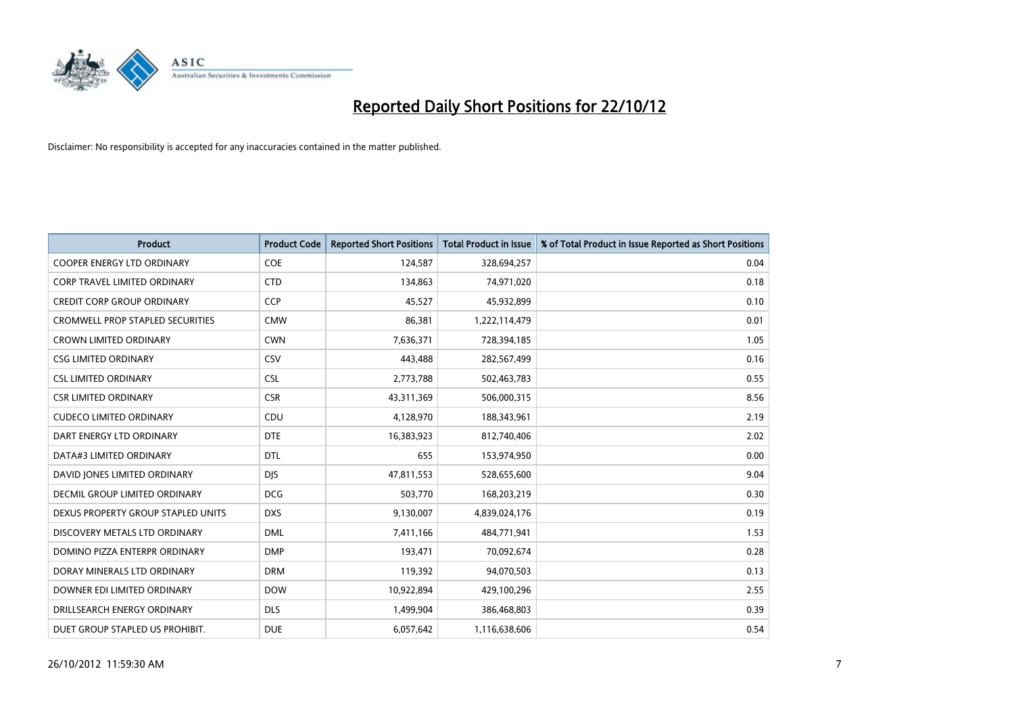

| <b>Product</b>                          | <b>Product Code</b> | <b>Reported Short Positions</b> | Total Product in Issue | % of Total Product in Issue Reported as Short Positions |
|-----------------------------------------|---------------------|---------------------------------|------------------------|---------------------------------------------------------|
| <b>COOPER ENERGY LTD ORDINARY</b>       | <b>COE</b>          | 124,587                         | 328,694,257            | 0.04                                                    |
| <b>CORP TRAVEL LIMITED ORDINARY</b>     | <b>CTD</b>          | 134,863                         | 74,971,020             | 0.18                                                    |
| <b>CREDIT CORP GROUP ORDINARY</b>       | CCP                 | 45,527                          | 45,932,899             | 0.10                                                    |
| <b>CROMWELL PROP STAPLED SECURITIES</b> | <b>CMW</b>          | 86,381                          | 1,222,114,479          | 0.01                                                    |
| <b>CROWN LIMITED ORDINARY</b>           | <b>CWN</b>          | 7,636,371                       | 728,394,185            | 1.05                                                    |
| <b>CSG LIMITED ORDINARY</b>             | CSV                 | 443,488                         | 282,567,499            | 0.16                                                    |
| <b>CSL LIMITED ORDINARY</b>             | <b>CSL</b>          | 2,773,788                       | 502,463,783            | 0.55                                                    |
| <b>CSR LIMITED ORDINARY</b>             | <b>CSR</b>          | 43,311,369                      | 506,000,315            | 8.56                                                    |
| <b>CUDECO LIMITED ORDINARY</b>          | CDU                 | 4,128,970                       | 188,343,961            | 2.19                                                    |
| DART ENERGY LTD ORDINARY                | <b>DTE</b>          | 16,383,923                      | 812,740,406            | 2.02                                                    |
| DATA#3 LIMITED ORDINARY                 | <b>DTL</b>          | 655                             | 153,974,950            | 0.00                                                    |
| DAVID JONES LIMITED ORDINARY            | <b>DJS</b>          | 47,811,553                      | 528,655,600            | 9.04                                                    |
| <b>DECMIL GROUP LIMITED ORDINARY</b>    | <b>DCG</b>          | 503,770                         | 168,203,219            | 0.30                                                    |
| DEXUS PROPERTY GROUP STAPLED UNITS      | <b>DXS</b>          | 9,130,007                       | 4,839,024,176          | 0.19                                                    |
| DISCOVERY METALS LTD ORDINARY           | <b>DML</b>          | 7,411,166                       | 484,771,941            | 1.53                                                    |
| DOMINO PIZZA ENTERPR ORDINARY           | <b>DMP</b>          | 193,471                         | 70,092,674             | 0.28                                                    |
| DORAY MINERALS LTD ORDINARY             | <b>DRM</b>          | 119,392                         | 94,070,503             | 0.13                                                    |
| DOWNER EDI LIMITED ORDINARY             | <b>DOW</b>          | 10,922,894                      | 429,100,296            | 2.55                                                    |
| DRILLSEARCH ENERGY ORDINARY             | <b>DLS</b>          | 1,499,904                       | 386,468,803            | 0.39                                                    |
| DUET GROUP STAPLED US PROHIBIT.         | <b>DUE</b>          | 6.057.642                       | 1,116,638,606          | 0.54                                                    |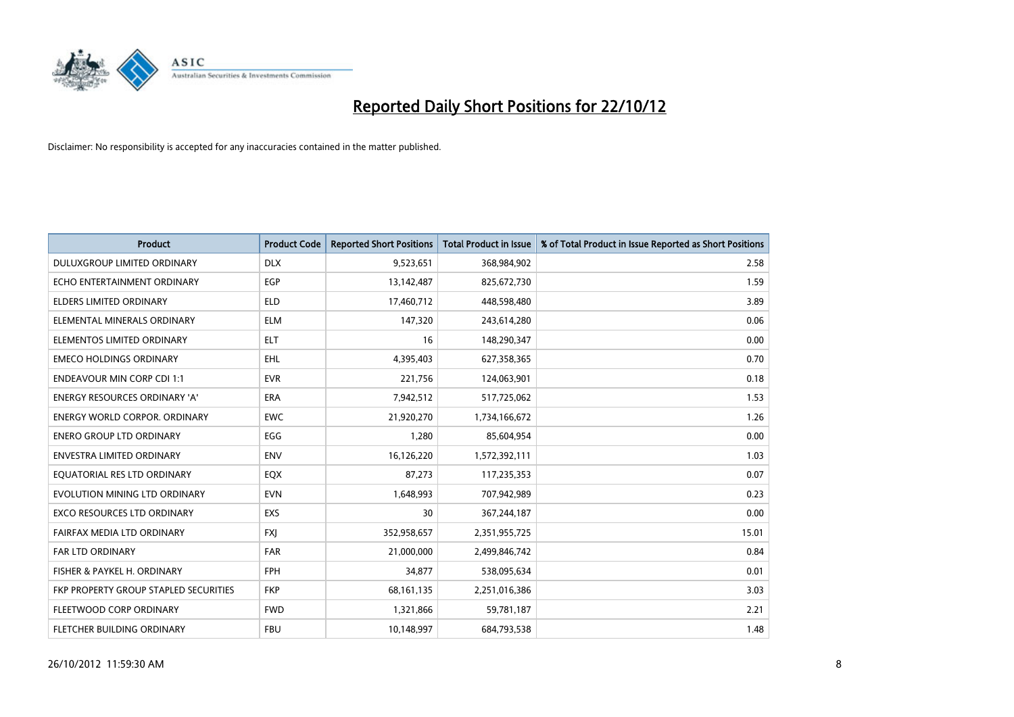

| <b>Product</b>                        | <b>Product Code</b> | <b>Reported Short Positions</b> | <b>Total Product in Issue</b> | % of Total Product in Issue Reported as Short Positions |
|---------------------------------------|---------------------|---------------------------------|-------------------------------|---------------------------------------------------------|
| DULUXGROUP LIMITED ORDINARY           | <b>DLX</b>          | 9,523,651                       | 368,984,902                   | 2.58                                                    |
| ECHO ENTERTAINMENT ORDINARY           | <b>EGP</b>          | 13,142,487                      | 825,672,730                   | 1.59                                                    |
| <b>ELDERS LIMITED ORDINARY</b>        | <b>ELD</b>          | 17,460,712                      | 448,598,480                   | 3.89                                                    |
| ELEMENTAL MINERALS ORDINARY           | <b>ELM</b>          | 147,320                         | 243,614,280                   | 0.06                                                    |
| ELEMENTOS LIMITED ORDINARY            | <b>ELT</b>          | 16                              | 148,290,347                   | 0.00                                                    |
| <b>EMECO HOLDINGS ORDINARY</b>        | <b>EHL</b>          | 4,395,403                       | 627,358,365                   | 0.70                                                    |
| <b>ENDEAVOUR MIN CORP CDI 1:1</b>     | <b>EVR</b>          | 221,756                         | 124,063,901                   | 0.18                                                    |
| ENERGY RESOURCES ORDINARY 'A'         | <b>ERA</b>          | 7,942,512                       | 517,725,062                   | 1.53                                                    |
| <b>ENERGY WORLD CORPOR, ORDINARY</b>  | <b>EWC</b>          | 21,920,270                      | 1,734,166,672                 | 1.26                                                    |
| <b>ENERO GROUP LTD ORDINARY</b>       | EGG                 | 1,280                           | 85,604,954                    | 0.00                                                    |
| ENVESTRA LIMITED ORDINARY             | <b>ENV</b>          | 16,126,220                      | 1,572,392,111                 | 1.03                                                    |
| EQUATORIAL RES LTD ORDINARY           | EQX                 | 87,273                          | 117,235,353                   | 0.07                                                    |
| EVOLUTION MINING LTD ORDINARY         | <b>EVN</b>          | 1,648,993                       | 707,942,989                   | 0.23                                                    |
| EXCO RESOURCES LTD ORDINARY           | EXS                 | 30                              | 367,244,187                   | 0.00                                                    |
| FAIRFAX MEDIA LTD ORDINARY            | <b>FXI</b>          | 352,958,657                     | 2,351,955,725                 | 15.01                                                   |
| FAR LTD ORDINARY                      | FAR                 | 21,000,000                      | 2,499,846,742                 | 0.84                                                    |
| FISHER & PAYKEL H. ORDINARY           | <b>FPH</b>          | 34,877                          | 538,095,634                   | 0.01                                                    |
| FKP PROPERTY GROUP STAPLED SECURITIES | <b>FKP</b>          | 68,161,135                      | 2,251,016,386                 | 3.03                                                    |
| FLEETWOOD CORP ORDINARY               | <b>FWD</b>          | 1,321,866                       | 59,781,187                    | 2.21                                                    |
| FLETCHER BUILDING ORDINARY            | <b>FBU</b>          | 10,148,997                      | 684,793,538                   | 1.48                                                    |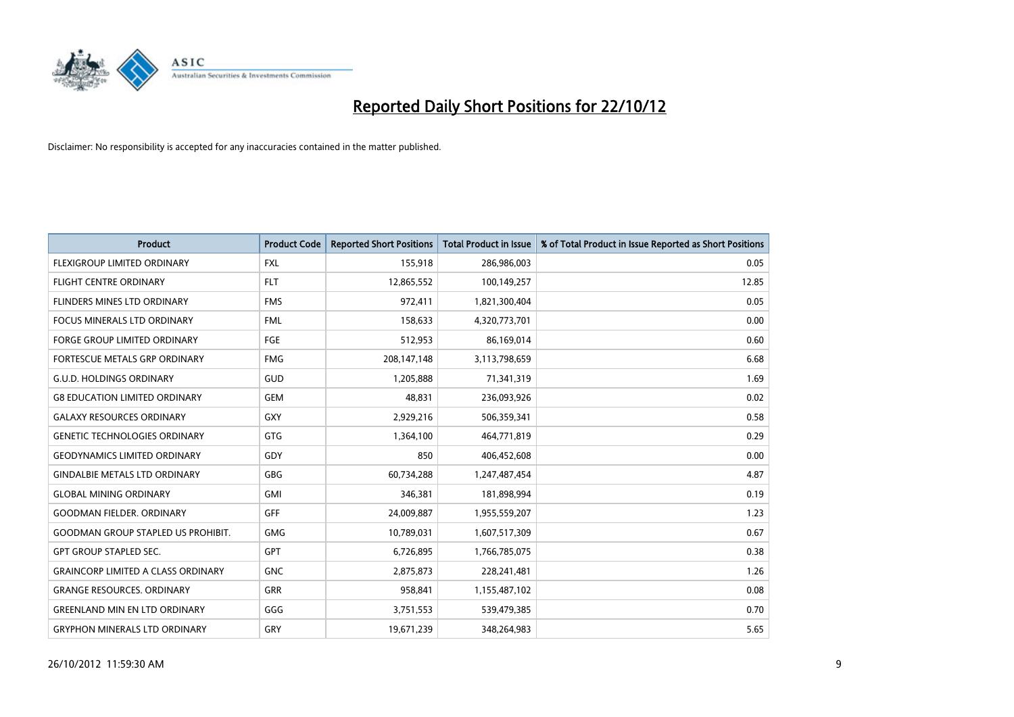

| <b>Product</b>                            | <b>Product Code</b> | <b>Reported Short Positions</b> | <b>Total Product in Issue</b> | % of Total Product in Issue Reported as Short Positions |
|-------------------------------------------|---------------------|---------------------------------|-------------------------------|---------------------------------------------------------|
| <b>FLEXIGROUP LIMITED ORDINARY</b>        | <b>FXL</b>          | 155,918                         | 286,986,003                   | 0.05                                                    |
| FLIGHT CENTRE ORDINARY                    | <b>FLT</b>          | 12,865,552                      | 100,149,257                   | 12.85                                                   |
| <b>FLINDERS MINES LTD ORDINARY</b>        | <b>FMS</b>          | 972,411                         | 1,821,300,404                 | 0.05                                                    |
| FOCUS MINERALS LTD ORDINARY               | <b>FML</b>          | 158,633                         | 4,320,773,701                 | 0.00                                                    |
| <b>FORGE GROUP LIMITED ORDINARY</b>       | FGE                 | 512,953                         | 86,169,014                    | 0.60                                                    |
| FORTESCUE METALS GRP ORDINARY             | <b>FMG</b>          | 208,147,148                     | 3,113,798,659                 | 6.68                                                    |
| <b>G.U.D. HOLDINGS ORDINARY</b>           | <b>GUD</b>          | 1,205,888                       | 71,341,319                    | 1.69                                                    |
| <b>G8 EDUCATION LIMITED ORDINARY</b>      | <b>GEM</b>          | 48,831                          | 236,093,926                   | 0.02                                                    |
| <b>GALAXY RESOURCES ORDINARY</b>          | <b>GXY</b>          | 2,929,216                       | 506,359,341                   | 0.58                                                    |
| <b>GENETIC TECHNOLOGIES ORDINARY</b>      | <b>GTG</b>          | 1,364,100                       | 464,771,819                   | 0.29                                                    |
| <b>GEODYNAMICS LIMITED ORDINARY</b>       | GDY                 | 850                             | 406,452,608                   | 0.00                                                    |
| <b>GINDALBIE METALS LTD ORDINARY</b>      | <b>GBG</b>          | 60,734,288                      | 1,247,487,454                 | 4.87                                                    |
| <b>GLOBAL MINING ORDINARY</b>             | <b>GMI</b>          | 346,381                         | 181,898,994                   | 0.19                                                    |
| <b>GOODMAN FIELDER, ORDINARY</b>          | <b>GFF</b>          | 24,009,887                      | 1,955,559,207                 | 1.23                                                    |
| <b>GOODMAN GROUP STAPLED US PROHIBIT.</b> | <b>GMG</b>          | 10,789,031                      | 1,607,517,309                 | 0.67                                                    |
| <b>GPT GROUP STAPLED SEC.</b>             | <b>GPT</b>          | 6,726,895                       | 1,766,785,075                 | 0.38                                                    |
| <b>GRAINCORP LIMITED A CLASS ORDINARY</b> | <b>GNC</b>          | 2,875,873                       | 228,241,481                   | 1.26                                                    |
| <b>GRANGE RESOURCES. ORDINARY</b>         | <b>GRR</b>          | 958,841                         | 1,155,487,102                 | 0.08                                                    |
| <b>GREENLAND MIN EN LTD ORDINARY</b>      | GGG                 | 3,751,553                       | 539,479,385                   | 0.70                                                    |
| <b>GRYPHON MINERALS LTD ORDINARY</b>      | GRY                 | 19,671,239                      | 348,264,983                   | 5.65                                                    |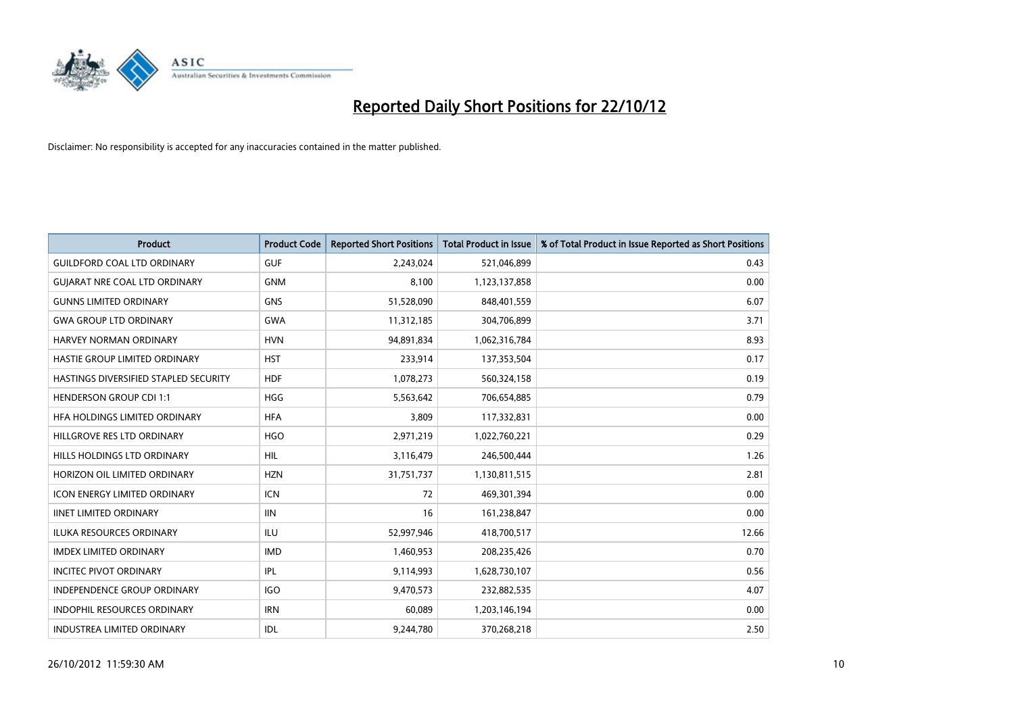

| <b>Product</b>                               | <b>Product Code</b> | <b>Reported Short Positions</b> | <b>Total Product in Issue</b> | % of Total Product in Issue Reported as Short Positions |
|----------------------------------------------|---------------------|---------------------------------|-------------------------------|---------------------------------------------------------|
| <b>GUILDFORD COAL LTD ORDINARY</b>           | <b>GUF</b>          | 2,243,024                       | 521,046,899                   | 0.43                                                    |
| <b>GUIARAT NRE COAL LTD ORDINARY</b>         | <b>GNM</b>          | 8,100                           | 1,123,137,858                 | 0.00                                                    |
| <b>GUNNS LIMITED ORDINARY</b>                | <b>GNS</b>          | 51,528,090                      | 848,401,559                   | 6.07                                                    |
| <b>GWA GROUP LTD ORDINARY</b>                | <b>GWA</b>          | 11,312,185                      | 304,706,899                   | 3.71                                                    |
| HARVEY NORMAN ORDINARY                       | <b>HVN</b>          | 94,891,834                      | 1,062,316,784                 | 8.93                                                    |
| HASTIE GROUP LIMITED ORDINARY                | <b>HST</b>          | 233,914                         | 137,353,504                   | 0.17                                                    |
| <b>HASTINGS DIVERSIFIED STAPLED SECURITY</b> | <b>HDF</b>          | 1,078,273                       | 560,324,158                   | 0.19                                                    |
| <b>HENDERSON GROUP CDI 1:1</b>               | <b>HGG</b>          | 5,563,642                       | 706,654,885                   | 0.79                                                    |
| HFA HOLDINGS LIMITED ORDINARY                | <b>HFA</b>          | 3,809                           | 117,332,831                   | 0.00                                                    |
| HILLGROVE RES LTD ORDINARY                   | <b>HGO</b>          | 2,971,219                       | 1,022,760,221                 | 0.29                                                    |
| HILLS HOLDINGS LTD ORDINARY                  | <b>HIL</b>          | 3,116,479                       | 246,500,444                   | 1.26                                                    |
| HORIZON OIL LIMITED ORDINARY                 | <b>HZN</b>          | 31,751,737                      | 1,130,811,515                 | 2.81                                                    |
| ICON ENERGY LIMITED ORDINARY                 | <b>ICN</b>          | 72                              | 469,301,394                   | 0.00                                                    |
| <b>IINET LIMITED ORDINARY</b>                | <b>IIN</b>          | 16                              | 161,238,847                   | 0.00                                                    |
| <b>ILUKA RESOURCES ORDINARY</b>              | ILU                 | 52,997,946                      | 418,700,517                   | 12.66                                                   |
| <b>IMDEX LIMITED ORDINARY</b>                | <b>IMD</b>          | 1,460,953                       | 208,235,426                   | 0.70                                                    |
| <b>INCITEC PIVOT ORDINARY</b>                | <b>IPL</b>          | 9,114,993                       | 1,628,730,107                 | 0.56                                                    |
| INDEPENDENCE GROUP ORDINARY                  | <b>IGO</b>          | 9,470,573                       | 232,882,535                   | 4.07                                                    |
| <b>INDOPHIL RESOURCES ORDINARY</b>           | <b>IRN</b>          | 60,089                          | 1,203,146,194                 | 0.00                                                    |
| INDUSTREA LIMITED ORDINARY                   | <b>IDL</b>          | 9,244,780                       | 370,268,218                   | 2.50                                                    |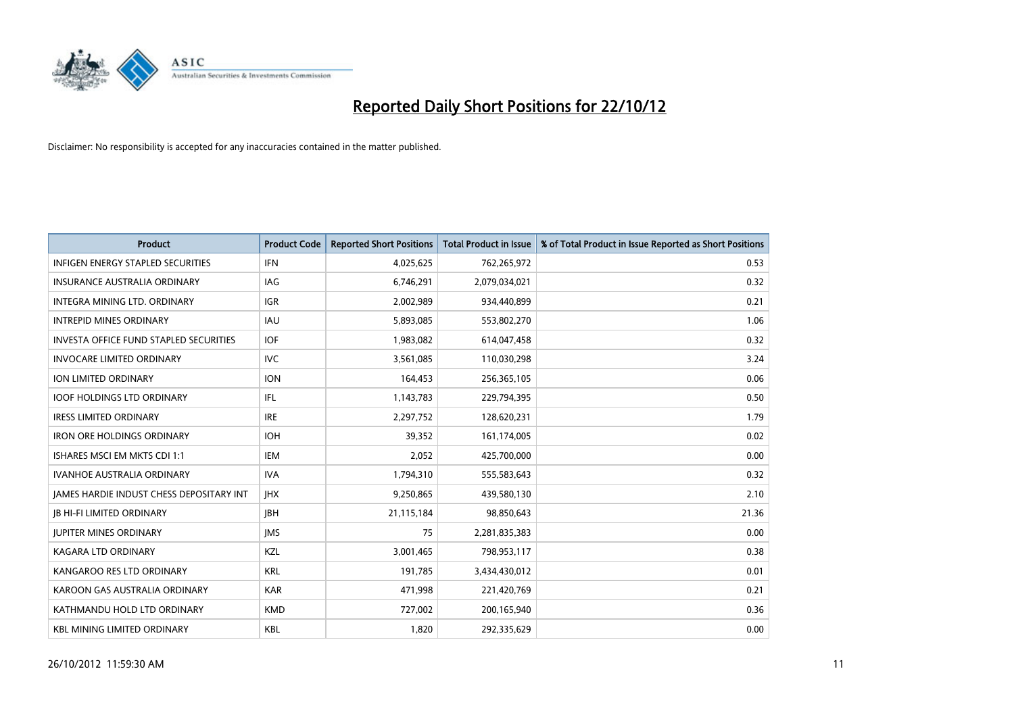

| <b>Product</b>                                  | <b>Product Code</b> | <b>Reported Short Positions</b> | <b>Total Product in Issue</b> | % of Total Product in Issue Reported as Short Positions |
|-------------------------------------------------|---------------------|---------------------------------|-------------------------------|---------------------------------------------------------|
| <b>INFIGEN ENERGY STAPLED SECURITIES</b>        | <b>IFN</b>          | 4,025,625                       | 762,265,972                   | 0.53                                                    |
| <b>INSURANCE AUSTRALIA ORDINARY</b>             | IAG                 | 6,746,291                       | 2,079,034,021                 | 0.32                                                    |
| <b>INTEGRA MINING LTD, ORDINARY</b>             | <b>IGR</b>          | 2,002,989                       | 934,440,899                   | 0.21                                                    |
| INTREPID MINES ORDINARY                         | <b>IAU</b>          | 5,893,085                       | 553,802,270                   | 1.06                                                    |
| <b>INVESTA OFFICE FUND STAPLED SECURITIES</b>   | <b>IOF</b>          | 1,983,082                       | 614,047,458                   | 0.32                                                    |
| <b>INVOCARE LIMITED ORDINARY</b>                | <b>IVC</b>          | 3,561,085                       | 110,030,298                   | 3.24                                                    |
| <b>ION LIMITED ORDINARY</b>                     | <b>ION</b>          | 164,453                         | 256,365,105                   | 0.06                                                    |
| <b>IOOF HOLDINGS LTD ORDINARY</b>               | <b>IFL</b>          | 1,143,783                       | 229,794,395                   | 0.50                                                    |
| <b>IRESS LIMITED ORDINARY</b>                   | <b>IRE</b>          | 2,297,752                       | 128,620,231                   | 1.79                                                    |
| <b>IRON ORE HOLDINGS ORDINARY</b>               | <b>IOH</b>          | 39,352                          | 161,174,005                   | 0.02                                                    |
| ISHARES MSCI EM MKTS CDI 1:1                    | IEM                 | 2,052                           | 425,700,000                   | 0.00                                                    |
| <b>IVANHOE AUSTRALIA ORDINARY</b>               | <b>IVA</b>          | 1,794,310                       | 555,583,643                   | 0.32                                                    |
| <b>JAMES HARDIE INDUST CHESS DEPOSITARY INT</b> | <b>IHX</b>          | 9,250,865                       | 439,580,130                   | 2.10                                                    |
| <b>IB HI-FI LIMITED ORDINARY</b>                | <b>IBH</b>          | 21,115,184                      | 98,850,643                    | 21.36                                                   |
| <b>JUPITER MINES ORDINARY</b>                   | <b>IMS</b>          | 75                              | 2,281,835,383                 | 0.00                                                    |
| KAGARA LTD ORDINARY                             | KZL                 | 3,001,465                       | 798,953,117                   | 0.38                                                    |
| KANGAROO RES LTD ORDINARY                       | <b>KRL</b>          | 191,785                         | 3,434,430,012                 | 0.01                                                    |
| KAROON GAS AUSTRALIA ORDINARY                   | <b>KAR</b>          | 471,998                         | 221,420,769                   | 0.21                                                    |
| KATHMANDU HOLD LTD ORDINARY                     | <b>KMD</b>          | 727,002                         | 200,165,940                   | 0.36                                                    |
| <b>KBL MINING LIMITED ORDINARY</b>              | <b>KBL</b>          | 1,820                           | 292,335,629                   | 0.00                                                    |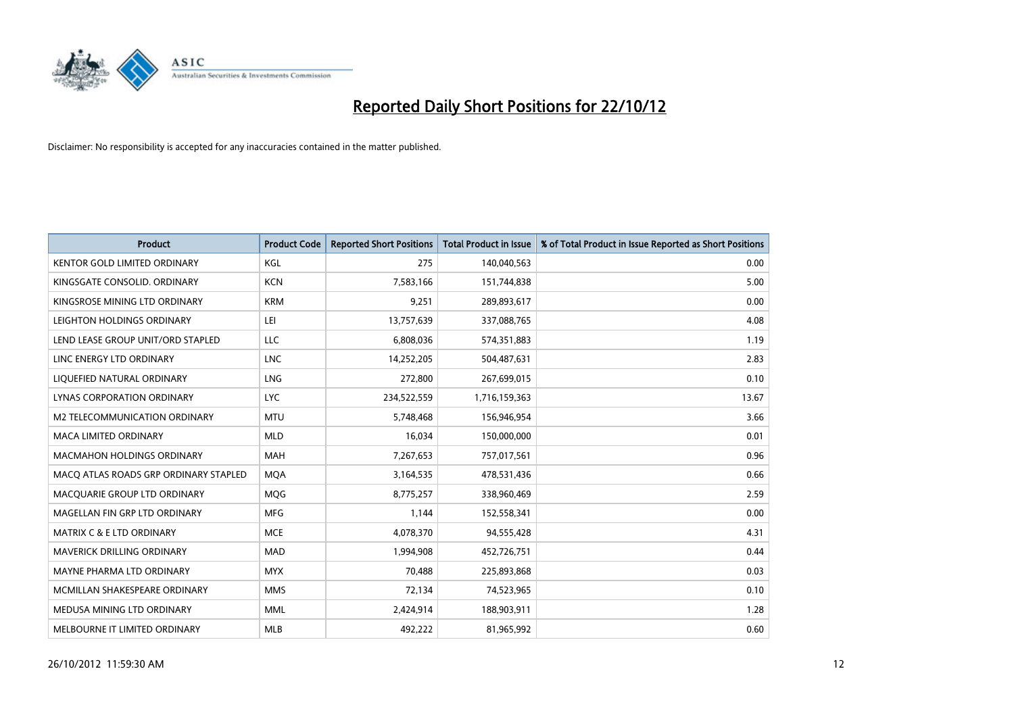

| <b>Product</b>                        | <b>Product Code</b> | <b>Reported Short Positions</b> | <b>Total Product in Issue</b> | % of Total Product in Issue Reported as Short Positions |
|---------------------------------------|---------------------|---------------------------------|-------------------------------|---------------------------------------------------------|
| KENTOR GOLD LIMITED ORDINARY          | KGL                 | 275                             | 140,040,563                   | 0.00                                                    |
| KINGSGATE CONSOLID. ORDINARY          | <b>KCN</b>          | 7,583,166                       | 151,744,838                   | 5.00                                                    |
| KINGSROSE MINING LTD ORDINARY         | <b>KRM</b>          | 9,251                           | 289,893,617                   | 0.00                                                    |
| LEIGHTON HOLDINGS ORDINARY            | LEI                 | 13,757,639                      | 337,088,765                   | 4.08                                                    |
| LEND LEASE GROUP UNIT/ORD STAPLED     | LLC                 | 6,808,036                       | 574,351,883                   | 1.19                                                    |
| LINC ENERGY LTD ORDINARY              | <b>LNC</b>          | 14,252,205                      | 504,487,631                   | 2.83                                                    |
| LIQUEFIED NATURAL ORDINARY            | <b>LNG</b>          | 272,800                         | 267,699,015                   | 0.10                                                    |
| LYNAS CORPORATION ORDINARY            | <b>LYC</b>          | 234,522,559                     | 1,716,159,363                 | 13.67                                                   |
| M2 TELECOMMUNICATION ORDINARY         | <b>MTU</b>          | 5,748,468                       | 156,946,954                   | 3.66                                                    |
| <b>MACA LIMITED ORDINARY</b>          | <b>MLD</b>          | 16,034                          | 150,000,000                   | 0.01                                                    |
| <b>MACMAHON HOLDINGS ORDINARY</b>     | <b>MAH</b>          | 7,267,653                       | 757,017,561                   | 0.96                                                    |
| MACQ ATLAS ROADS GRP ORDINARY STAPLED | <b>MQA</b>          | 3,164,535                       | 478,531,436                   | 0.66                                                    |
| MACQUARIE GROUP LTD ORDINARY          | <b>MOG</b>          | 8,775,257                       | 338,960,469                   | 2.59                                                    |
| MAGELLAN FIN GRP LTD ORDINARY         | <b>MFG</b>          | 1,144                           | 152,558,341                   | 0.00                                                    |
| <b>MATRIX C &amp; E LTD ORDINARY</b>  | <b>MCE</b>          | 4,078,370                       | 94,555,428                    | 4.31                                                    |
| <b>MAVERICK DRILLING ORDINARY</b>     | <b>MAD</b>          | 1,994,908                       | 452,726,751                   | 0.44                                                    |
| MAYNE PHARMA LTD ORDINARY             | <b>MYX</b>          | 70,488                          | 225,893,868                   | 0.03                                                    |
| MCMILLAN SHAKESPEARE ORDINARY         | <b>MMS</b>          | 72,134                          | 74,523,965                    | 0.10                                                    |
| MEDUSA MINING LTD ORDINARY            | <b>MML</b>          | 2,424,914                       | 188,903,911                   | 1.28                                                    |
| MELBOURNE IT LIMITED ORDINARY         | <b>MLB</b>          | 492,222                         | 81,965,992                    | 0.60                                                    |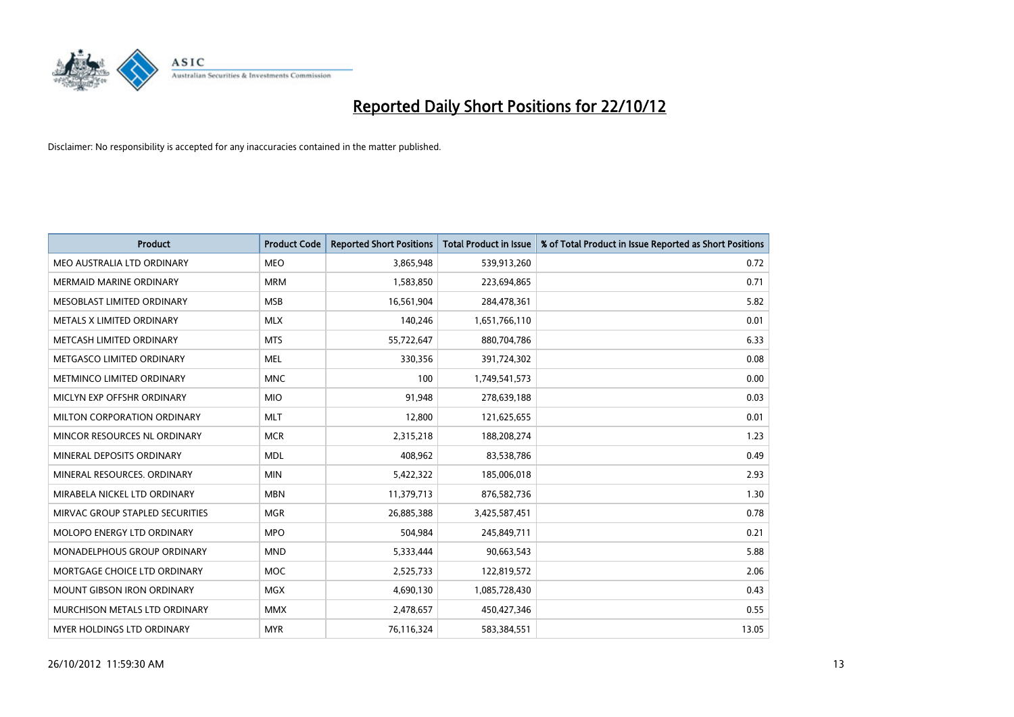

| <b>Product</b>                     | <b>Product Code</b> | <b>Reported Short Positions</b> | <b>Total Product in Issue</b> | % of Total Product in Issue Reported as Short Positions |
|------------------------------------|---------------------|---------------------------------|-------------------------------|---------------------------------------------------------|
| MEO AUSTRALIA LTD ORDINARY         | <b>MEO</b>          | 3,865,948                       | 539,913,260                   | 0.72                                                    |
| MERMAID MARINE ORDINARY            | <b>MRM</b>          | 1,583,850                       | 223,694,865                   | 0.71                                                    |
| MESOBLAST LIMITED ORDINARY         | <b>MSB</b>          | 16,561,904                      | 284,478,361                   | 5.82                                                    |
| METALS X LIMITED ORDINARY          | <b>MLX</b>          | 140,246                         | 1,651,766,110                 | 0.01                                                    |
| METCASH LIMITED ORDINARY           | <b>MTS</b>          | 55,722,647                      | 880,704,786                   | 6.33                                                    |
| METGASCO LIMITED ORDINARY          | <b>MEL</b>          | 330,356                         | 391,724,302                   | 0.08                                                    |
| METMINCO LIMITED ORDINARY          | <b>MNC</b>          | 100                             | 1,749,541,573                 | 0.00                                                    |
| MICLYN EXP OFFSHR ORDINARY         | <b>MIO</b>          | 91,948                          | 278,639,188                   | 0.03                                                    |
| MILTON CORPORATION ORDINARY        | <b>MLT</b>          | 12,800                          | 121,625,655                   | 0.01                                                    |
| MINCOR RESOURCES NL ORDINARY       | <b>MCR</b>          | 2,315,218                       | 188,208,274                   | 1.23                                                    |
| MINERAL DEPOSITS ORDINARY          | <b>MDL</b>          | 408,962                         | 83,538,786                    | 0.49                                                    |
| MINERAL RESOURCES. ORDINARY        | <b>MIN</b>          | 5,422,322                       | 185,006,018                   | 2.93                                                    |
| MIRABELA NICKEL LTD ORDINARY       | <b>MBN</b>          | 11,379,713                      | 876,582,736                   | 1.30                                                    |
| MIRVAC GROUP STAPLED SECURITIES    | <b>MGR</b>          | 26,885,388                      | 3,425,587,451                 | 0.78                                                    |
| MOLOPO ENERGY LTD ORDINARY         | <b>MPO</b>          | 504,984                         | 245,849,711                   | 0.21                                                    |
| <b>MONADELPHOUS GROUP ORDINARY</b> | <b>MND</b>          | 5,333,444                       | 90,663,543                    | 5.88                                                    |
| MORTGAGE CHOICE LTD ORDINARY       | <b>MOC</b>          | 2,525,733                       | 122,819,572                   | 2.06                                                    |
| MOUNT GIBSON IRON ORDINARY         | <b>MGX</b>          | 4,690,130                       | 1,085,728,430                 | 0.43                                                    |
| MURCHISON METALS LTD ORDINARY      | <b>MMX</b>          | 2,478,657                       | 450,427,346                   | 0.55                                                    |
| MYER HOLDINGS LTD ORDINARY         | <b>MYR</b>          | 76,116,324                      | 583,384,551                   | 13.05                                                   |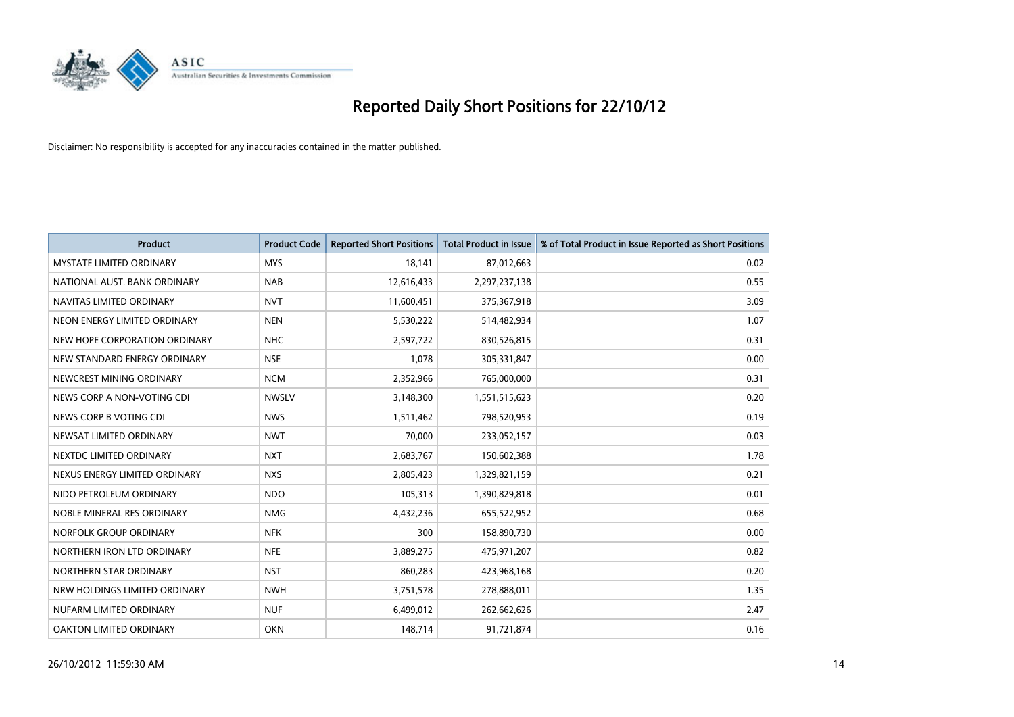

| <b>Product</b>                  | <b>Product Code</b> | <b>Reported Short Positions</b> | <b>Total Product in Issue</b> | % of Total Product in Issue Reported as Short Positions |
|---------------------------------|---------------------|---------------------------------|-------------------------------|---------------------------------------------------------|
| <b>MYSTATE LIMITED ORDINARY</b> | <b>MYS</b>          | 18,141                          | 87,012,663                    | 0.02                                                    |
| NATIONAL AUST. BANK ORDINARY    | <b>NAB</b>          | 12,616,433                      | 2,297,237,138                 | 0.55                                                    |
| NAVITAS LIMITED ORDINARY        | <b>NVT</b>          | 11,600,451                      | 375,367,918                   | 3.09                                                    |
| NEON ENERGY LIMITED ORDINARY    | <b>NEN</b>          | 5,530,222                       | 514,482,934                   | 1.07                                                    |
| NEW HOPE CORPORATION ORDINARY   | <b>NHC</b>          | 2,597,722                       | 830,526,815                   | 0.31                                                    |
| NEW STANDARD ENERGY ORDINARY    | <b>NSE</b>          | 1,078                           | 305,331,847                   | 0.00                                                    |
| NEWCREST MINING ORDINARY        | <b>NCM</b>          | 2,352,966                       | 765,000,000                   | 0.31                                                    |
| NEWS CORP A NON-VOTING CDI      | <b>NWSLV</b>        | 3,148,300                       | 1,551,515,623                 | 0.20                                                    |
| NEWS CORP B VOTING CDI          | <b>NWS</b>          | 1,511,462                       | 798,520,953                   | 0.19                                                    |
| NEWSAT LIMITED ORDINARY         | <b>NWT</b>          | 70,000                          | 233,052,157                   | 0.03                                                    |
| NEXTDC LIMITED ORDINARY         | <b>NXT</b>          | 2,683,767                       | 150,602,388                   | 1.78                                                    |
| NEXUS ENERGY LIMITED ORDINARY   | <b>NXS</b>          | 2,805,423                       | 1,329,821,159                 | 0.21                                                    |
| NIDO PETROLEUM ORDINARY         | <b>NDO</b>          | 105,313                         | 1,390,829,818                 | 0.01                                                    |
| NOBLE MINERAL RES ORDINARY      | <b>NMG</b>          | 4,432,236                       | 655,522,952                   | 0.68                                                    |
| NORFOLK GROUP ORDINARY          | <b>NFK</b>          | 300                             | 158,890,730                   | 0.00                                                    |
| NORTHERN IRON LTD ORDINARY      | <b>NFE</b>          | 3,889,275                       | 475,971,207                   | 0.82                                                    |
| NORTHERN STAR ORDINARY          | <b>NST</b>          | 860,283                         | 423,968,168                   | 0.20                                                    |
| NRW HOLDINGS LIMITED ORDINARY   | <b>NWH</b>          | 3,751,578                       | 278,888,011                   | 1.35                                                    |
| NUFARM LIMITED ORDINARY         | <b>NUF</b>          | 6,499,012                       | 262,662,626                   | 2.47                                                    |
| <b>OAKTON LIMITED ORDINARY</b>  | <b>OKN</b>          | 148,714                         | 91,721,874                    | 0.16                                                    |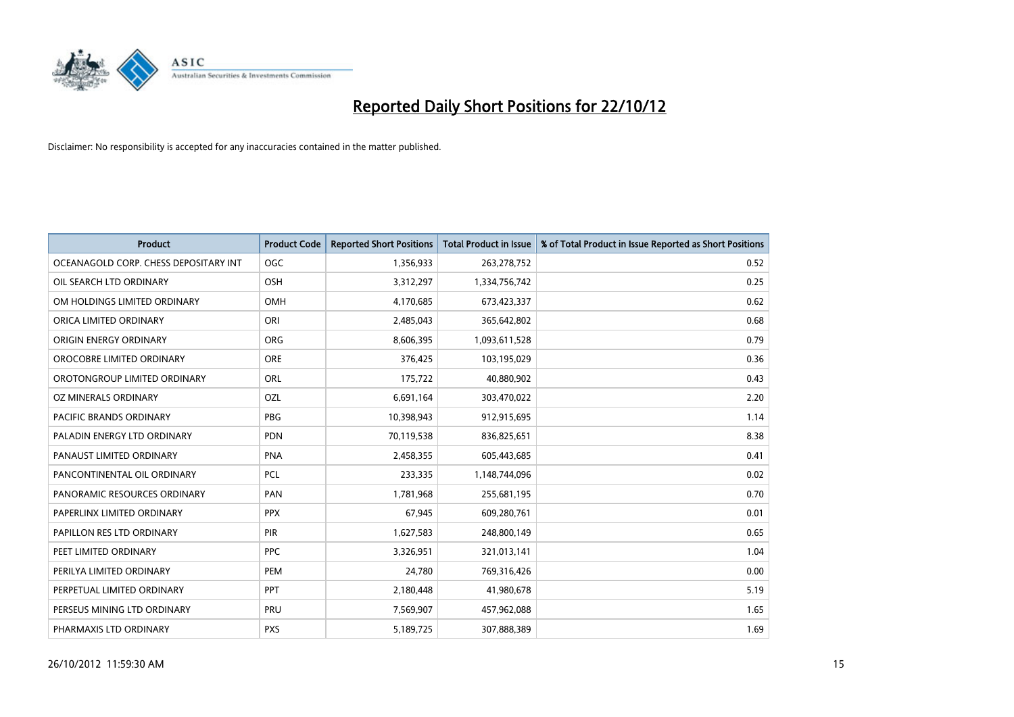

| <b>Product</b>                        | <b>Product Code</b> | <b>Reported Short Positions</b> | <b>Total Product in Issue</b> | % of Total Product in Issue Reported as Short Positions |
|---------------------------------------|---------------------|---------------------------------|-------------------------------|---------------------------------------------------------|
| OCEANAGOLD CORP. CHESS DEPOSITARY INT | <b>OGC</b>          | 1,356,933                       | 263,278,752                   | 0.52                                                    |
| OIL SEARCH LTD ORDINARY               | <b>OSH</b>          | 3,312,297                       | 1,334,756,742                 | 0.25                                                    |
| OM HOLDINGS LIMITED ORDINARY          | <b>OMH</b>          | 4,170,685                       | 673,423,337                   | 0.62                                                    |
| ORICA LIMITED ORDINARY                | ORI                 | 2,485,043                       | 365,642,802                   | 0.68                                                    |
| <b>ORIGIN ENERGY ORDINARY</b>         | <b>ORG</b>          | 8,606,395                       | 1,093,611,528                 | 0.79                                                    |
| OROCOBRE LIMITED ORDINARY             | <b>ORE</b>          | 376,425                         | 103,195,029                   | 0.36                                                    |
| OROTONGROUP LIMITED ORDINARY          | <b>ORL</b>          | 175,722                         | 40,880,902                    | 0.43                                                    |
| OZ MINERALS ORDINARY                  | OZL                 | 6,691,164                       | 303,470,022                   | 2.20                                                    |
| <b>PACIFIC BRANDS ORDINARY</b>        | <b>PBG</b>          | 10,398,943                      | 912,915,695                   | 1.14                                                    |
| PALADIN ENERGY LTD ORDINARY           | <b>PDN</b>          | 70,119,538                      | 836,825,651                   | 8.38                                                    |
| PANAUST LIMITED ORDINARY              | <b>PNA</b>          | 2,458,355                       | 605,443,685                   | 0.41                                                    |
| PANCONTINENTAL OIL ORDINARY           | <b>PCL</b>          | 233,335                         | 1,148,744,096                 | 0.02                                                    |
| PANORAMIC RESOURCES ORDINARY          | PAN                 | 1,781,968                       | 255,681,195                   | 0.70                                                    |
| PAPERLINX LIMITED ORDINARY            | <b>PPX</b>          | 67,945                          | 609,280,761                   | 0.01                                                    |
| PAPILLON RES LTD ORDINARY             | PIR                 | 1,627,583                       | 248,800,149                   | 0.65                                                    |
| PEET LIMITED ORDINARY                 | <b>PPC</b>          | 3,326,951                       | 321,013,141                   | 1.04                                                    |
| PERILYA LIMITED ORDINARY              | PEM                 | 24,780                          | 769,316,426                   | 0.00                                                    |
| PERPETUAL LIMITED ORDINARY            | <b>PPT</b>          | 2,180,448                       | 41,980,678                    | 5.19                                                    |
| PERSEUS MINING LTD ORDINARY           | PRU                 | 7,569,907                       | 457,962,088                   | 1.65                                                    |
| PHARMAXIS LTD ORDINARY                | <b>PXS</b>          | 5,189,725                       | 307,888,389                   | 1.69                                                    |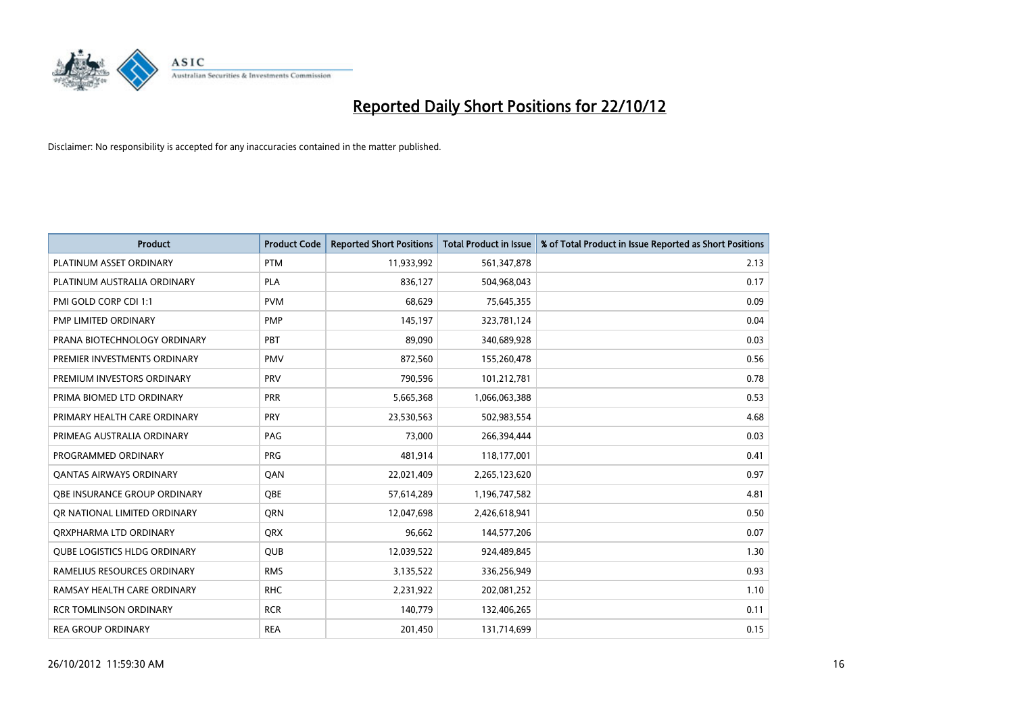

| <b>Product</b>                      | <b>Product Code</b> | <b>Reported Short Positions</b> | <b>Total Product in Issue</b> | % of Total Product in Issue Reported as Short Positions |
|-------------------------------------|---------------------|---------------------------------|-------------------------------|---------------------------------------------------------|
| PLATINUM ASSET ORDINARY             | <b>PTM</b>          | 11,933,992                      | 561,347,878                   | 2.13                                                    |
| PLATINUM AUSTRALIA ORDINARY         | <b>PLA</b>          | 836,127                         | 504,968,043                   | 0.17                                                    |
| PMI GOLD CORP CDI 1:1               | <b>PVM</b>          | 68,629                          | 75,645,355                    | 0.09                                                    |
| PMP LIMITED ORDINARY                | <b>PMP</b>          | 145,197                         | 323,781,124                   | 0.04                                                    |
| PRANA BIOTECHNOLOGY ORDINARY        | <b>PBT</b>          | 89,090                          | 340,689,928                   | 0.03                                                    |
| PREMIER INVESTMENTS ORDINARY        | <b>PMV</b>          | 872,560                         | 155,260,478                   | 0.56                                                    |
| PREMIUM INVESTORS ORDINARY          | <b>PRV</b>          | 790,596                         | 101,212,781                   | 0.78                                                    |
| PRIMA BIOMED LTD ORDINARY           | <b>PRR</b>          | 5,665,368                       | 1,066,063,388                 | 0.53                                                    |
| PRIMARY HEALTH CARE ORDINARY        | <b>PRY</b>          | 23,530,563                      | 502,983,554                   | 4.68                                                    |
| PRIMEAG AUSTRALIA ORDINARY          | PAG                 | 73,000                          | 266,394,444                   | 0.03                                                    |
| PROGRAMMED ORDINARY                 | <b>PRG</b>          | 481,914                         | 118,177,001                   | 0.41                                                    |
| <b>QANTAS AIRWAYS ORDINARY</b>      | QAN                 | 22,021,409                      | 2,265,123,620                 | 0.97                                                    |
| <b>OBE INSURANCE GROUP ORDINARY</b> | <b>OBE</b>          | 57,614,289                      | 1,196,747,582                 | 4.81                                                    |
| OR NATIONAL LIMITED ORDINARY        | <b>ORN</b>          | 12,047,698                      | 2,426,618,941                 | 0.50                                                    |
| ORXPHARMA LTD ORDINARY              | <b>ORX</b>          | 96,662                          | 144,577,206                   | 0.07                                                    |
| <b>QUBE LOGISTICS HLDG ORDINARY</b> | <b>QUB</b>          | 12,039,522                      | 924,489,845                   | 1.30                                                    |
| RAMELIUS RESOURCES ORDINARY         | <b>RMS</b>          | 3,135,522                       | 336,256,949                   | 0.93                                                    |
| RAMSAY HEALTH CARE ORDINARY         | <b>RHC</b>          | 2,231,922                       | 202,081,252                   | 1.10                                                    |
| <b>RCR TOMLINSON ORDINARY</b>       | <b>RCR</b>          | 140,779                         | 132,406,265                   | 0.11                                                    |
| <b>REA GROUP ORDINARY</b>           | <b>REA</b>          | 201,450                         | 131,714,699                   | 0.15                                                    |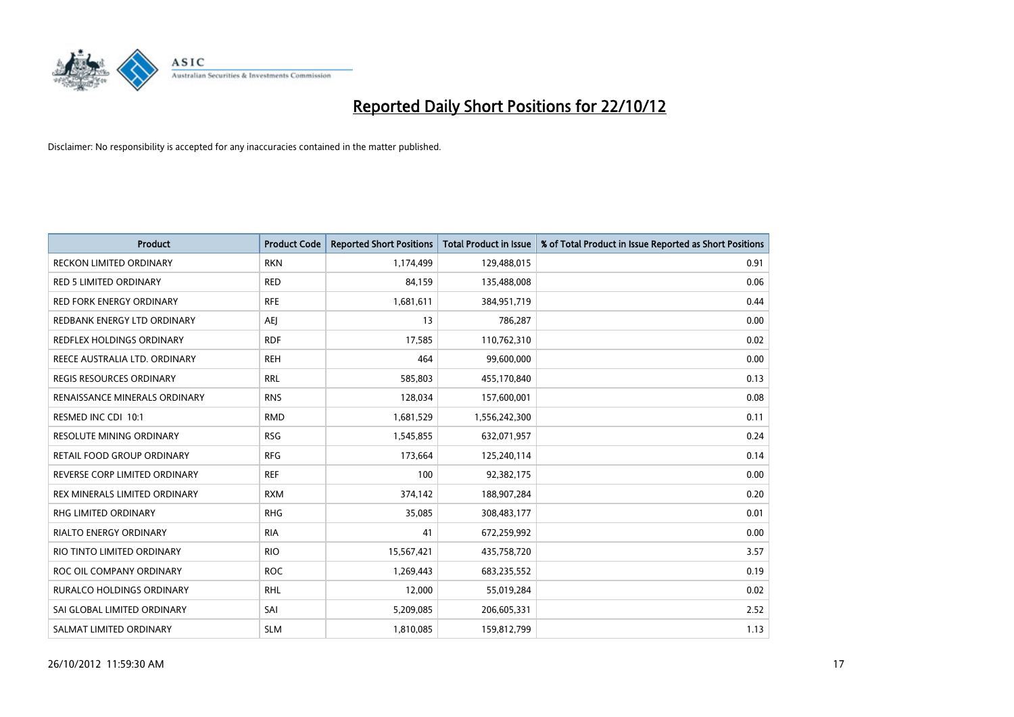

| <b>Product</b>                  | <b>Product Code</b> | <b>Reported Short Positions</b> | <b>Total Product in Issue</b> | % of Total Product in Issue Reported as Short Positions |
|---------------------------------|---------------------|---------------------------------|-------------------------------|---------------------------------------------------------|
| <b>RECKON LIMITED ORDINARY</b>  | <b>RKN</b>          | 1,174,499                       | 129,488,015                   | 0.91                                                    |
| <b>RED 5 LIMITED ORDINARY</b>   | <b>RED</b>          | 84,159                          | 135,488,008                   | 0.06                                                    |
| <b>RED FORK ENERGY ORDINARY</b> | <b>RFE</b>          | 1,681,611                       | 384,951,719                   | 0.44                                                    |
| REDBANK ENERGY LTD ORDINARY     | AEJ                 | 13                              | 786,287                       | 0.00                                                    |
| REDFLEX HOLDINGS ORDINARY       | <b>RDF</b>          | 17,585                          | 110,762,310                   | 0.02                                                    |
| REECE AUSTRALIA LTD. ORDINARY   | <b>REH</b>          | 464                             | 99,600,000                    | 0.00                                                    |
| <b>REGIS RESOURCES ORDINARY</b> | <b>RRL</b>          | 585,803                         | 455,170,840                   | 0.13                                                    |
| RENAISSANCE MINERALS ORDINARY   | <b>RNS</b>          | 128,034                         | 157,600,001                   | 0.08                                                    |
| RESMED INC CDI 10:1             | <b>RMD</b>          | 1,681,529                       | 1,556,242,300                 | 0.11                                                    |
| <b>RESOLUTE MINING ORDINARY</b> | <b>RSG</b>          | 1,545,855                       | 632,071,957                   | 0.24                                                    |
| RETAIL FOOD GROUP ORDINARY      | <b>RFG</b>          | 173,664                         | 125,240,114                   | 0.14                                                    |
| REVERSE CORP LIMITED ORDINARY   | <b>REF</b>          | 100                             | 92,382,175                    | 0.00                                                    |
| REX MINERALS LIMITED ORDINARY   | <b>RXM</b>          | 374,142                         | 188,907,284                   | 0.20                                                    |
| RHG LIMITED ORDINARY            | <b>RHG</b>          | 35,085                          | 308,483,177                   | 0.01                                                    |
| <b>RIALTO ENERGY ORDINARY</b>   | <b>RIA</b>          | 41                              | 672,259,992                   | 0.00                                                    |
| RIO TINTO LIMITED ORDINARY      | <b>RIO</b>          | 15,567,421                      | 435,758,720                   | 3.57                                                    |
| ROC OIL COMPANY ORDINARY        | <b>ROC</b>          | 1,269,443                       | 683,235,552                   | 0.19                                                    |
| RURALCO HOLDINGS ORDINARY       | <b>RHL</b>          | 12,000                          | 55,019,284                    | 0.02                                                    |
| SAI GLOBAL LIMITED ORDINARY     | SAI                 | 5,209,085                       | 206,605,331                   | 2.52                                                    |
| SALMAT LIMITED ORDINARY         | <b>SLM</b>          | 1,810,085                       | 159,812,799                   | 1.13                                                    |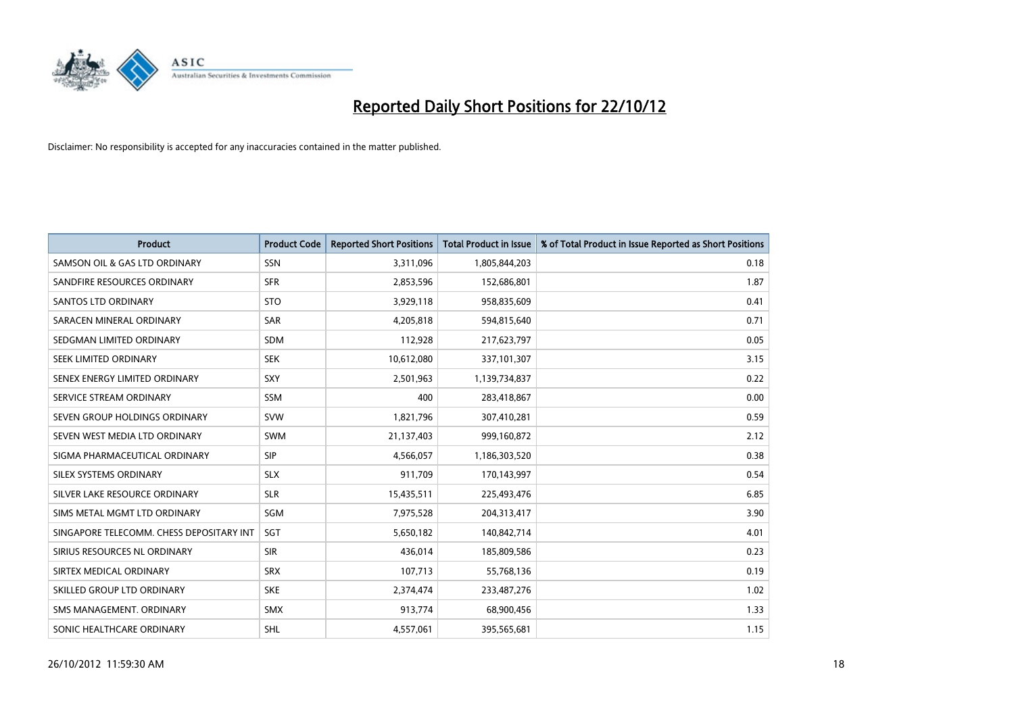

| <b>Product</b>                           | <b>Product Code</b> | <b>Reported Short Positions</b> | <b>Total Product in Issue</b> | % of Total Product in Issue Reported as Short Positions |
|------------------------------------------|---------------------|---------------------------------|-------------------------------|---------------------------------------------------------|
| SAMSON OIL & GAS LTD ORDINARY            | <b>SSN</b>          | 3,311,096                       | 1,805,844,203                 | 0.18                                                    |
| SANDFIRE RESOURCES ORDINARY              | <b>SFR</b>          | 2,853,596                       | 152,686,801                   | 1.87                                                    |
| <b>SANTOS LTD ORDINARY</b>               | <b>STO</b>          | 3,929,118                       | 958,835,609                   | 0.41                                                    |
| SARACEN MINERAL ORDINARY                 | <b>SAR</b>          | 4,205,818                       | 594,815,640                   | 0.71                                                    |
| SEDGMAN LIMITED ORDINARY                 | <b>SDM</b>          | 112,928                         | 217,623,797                   | 0.05                                                    |
| SEEK LIMITED ORDINARY                    | <b>SEK</b>          | 10,612,080                      | 337,101,307                   | 3.15                                                    |
| SENEX ENERGY LIMITED ORDINARY            | <b>SXY</b>          | 2,501,963                       | 1,139,734,837                 | 0.22                                                    |
| SERVICE STREAM ORDINARY                  | <b>SSM</b>          | 400                             | 283,418,867                   | 0.00                                                    |
| SEVEN GROUP HOLDINGS ORDINARY            | <b>SVW</b>          | 1,821,796                       | 307,410,281                   | 0.59                                                    |
| SEVEN WEST MEDIA LTD ORDINARY            | <b>SWM</b>          | 21,137,403                      | 999,160,872                   | 2.12                                                    |
| SIGMA PHARMACEUTICAL ORDINARY            | <b>SIP</b>          | 4,566,057                       | 1,186,303,520                 | 0.38                                                    |
| SILEX SYSTEMS ORDINARY                   | <b>SLX</b>          | 911,709                         | 170,143,997                   | 0.54                                                    |
| SILVER LAKE RESOURCE ORDINARY            | <b>SLR</b>          | 15,435,511                      | 225,493,476                   | 6.85                                                    |
| SIMS METAL MGMT LTD ORDINARY             | SGM                 | 7,975,528                       | 204,313,417                   | 3.90                                                    |
| SINGAPORE TELECOMM. CHESS DEPOSITARY INT | SGT                 | 5,650,182                       | 140,842,714                   | 4.01                                                    |
| SIRIUS RESOURCES NL ORDINARY             | <b>SIR</b>          | 436,014                         | 185,809,586                   | 0.23                                                    |
| SIRTEX MEDICAL ORDINARY                  | <b>SRX</b>          | 107,713                         | 55,768,136                    | 0.19                                                    |
| SKILLED GROUP LTD ORDINARY               | <b>SKE</b>          | 2,374,474                       | 233,487,276                   | 1.02                                                    |
| SMS MANAGEMENT, ORDINARY                 | <b>SMX</b>          | 913,774                         | 68,900,456                    | 1.33                                                    |
| SONIC HEALTHCARE ORDINARY                | <b>SHL</b>          | 4,557,061                       | 395,565,681                   | 1.15                                                    |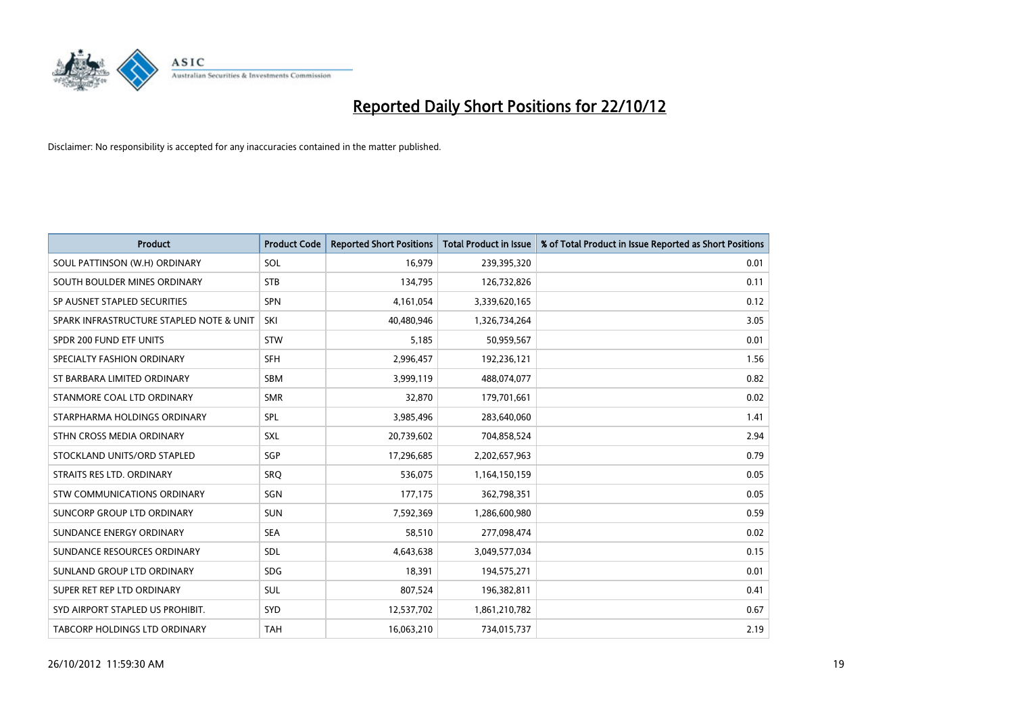

| <b>Product</b>                           | <b>Product Code</b> | <b>Reported Short Positions</b> | <b>Total Product in Issue</b> | % of Total Product in Issue Reported as Short Positions |
|------------------------------------------|---------------------|---------------------------------|-------------------------------|---------------------------------------------------------|
| SOUL PATTINSON (W.H) ORDINARY            | SOL                 | 16,979                          | 239,395,320                   | 0.01                                                    |
| SOUTH BOULDER MINES ORDINARY             | <b>STB</b>          | 134,795                         | 126,732,826                   | 0.11                                                    |
| SP AUSNET STAPLED SECURITIES             | <b>SPN</b>          | 4,161,054                       | 3,339,620,165                 | 0.12                                                    |
| SPARK INFRASTRUCTURE STAPLED NOTE & UNIT | SKI                 | 40,480,946                      | 1,326,734,264                 | 3.05                                                    |
| SPDR 200 FUND ETF UNITS                  | <b>STW</b>          | 5,185                           | 50,959,567                    | 0.01                                                    |
| SPECIALTY FASHION ORDINARY               | <b>SFH</b>          | 2,996,457                       | 192,236,121                   | 1.56                                                    |
| ST BARBARA LIMITED ORDINARY              | <b>SBM</b>          | 3,999,119                       | 488,074,077                   | 0.82                                                    |
| STANMORE COAL LTD ORDINARY               | <b>SMR</b>          | 32,870                          | 179,701,661                   | 0.02                                                    |
| STARPHARMA HOLDINGS ORDINARY             | SPL                 | 3,985,496                       | 283,640,060                   | 1.41                                                    |
| STHN CROSS MEDIA ORDINARY                | <b>SXL</b>          | 20,739,602                      | 704,858,524                   | 2.94                                                    |
| STOCKLAND UNITS/ORD STAPLED              | SGP                 | 17,296,685                      | 2,202,657,963                 | 0.79                                                    |
| STRAITS RES LTD. ORDINARY                | SRQ                 | 536,075                         | 1,164,150,159                 | 0.05                                                    |
| STW COMMUNICATIONS ORDINARY              | SGN                 | 177,175                         | 362,798,351                   | 0.05                                                    |
| SUNCORP GROUP LTD ORDINARY               | <b>SUN</b>          | 7,592,369                       | 1,286,600,980                 | 0.59                                                    |
| SUNDANCE ENERGY ORDINARY                 | <b>SEA</b>          | 58,510                          | 277,098,474                   | 0.02                                                    |
| SUNDANCE RESOURCES ORDINARY              | <b>SDL</b>          | 4,643,638                       | 3,049,577,034                 | 0.15                                                    |
| SUNLAND GROUP LTD ORDINARY               | <b>SDG</b>          | 18,391                          | 194,575,271                   | 0.01                                                    |
| SUPER RET REP LTD ORDINARY               | <b>SUL</b>          | 807,524                         | 196,382,811                   | 0.41                                                    |
| SYD AIRPORT STAPLED US PROHIBIT.         | <b>SYD</b>          | 12,537,702                      | 1,861,210,782                 | 0.67                                                    |
| TABCORP HOLDINGS LTD ORDINARY            | <b>TAH</b>          | 16,063,210                      | 734,015,737                   | 2.19                                                    |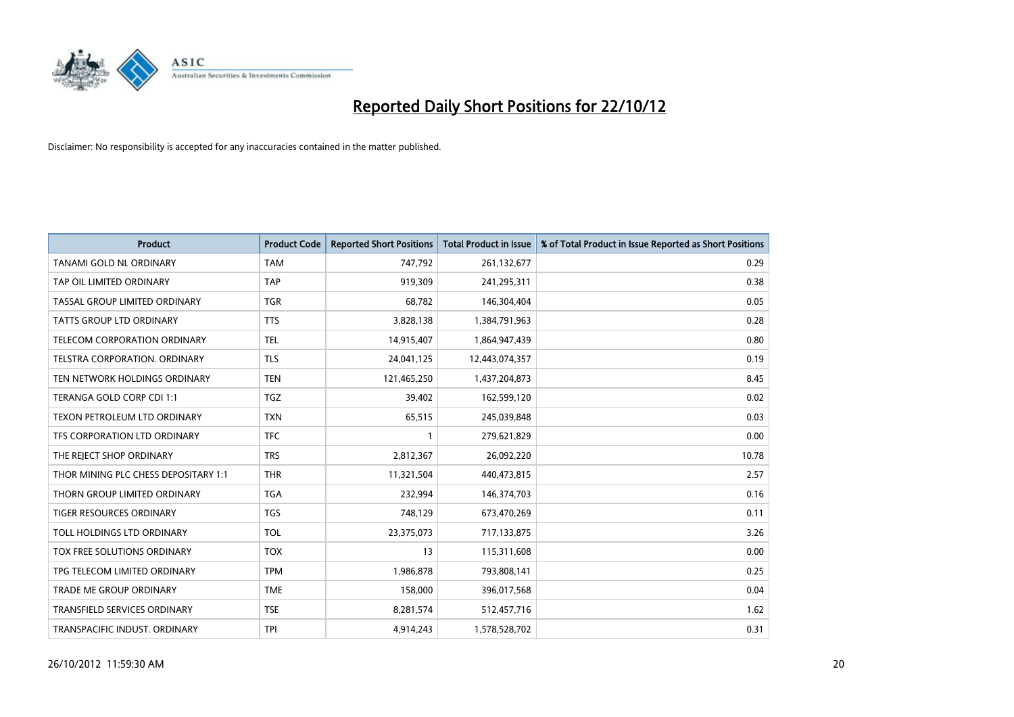

| <b>Product</b>                       | <b>Product Code</b> | <b>Reported Short Positions</b> | <b>Total Product in Issue</b> | % of Total Product in Issue Reported as Short Positions |
|--------------------------------------|---------------------|---------------------------------|-------------------------------|---------------------------------------------------------|
| <b>TANAMI GOLD NL ORDINARY</b>       | <b>TAM</b>          | 747,792                         | 261,132,677                   | 0.29                                                    |
| TAP OIL LIMITED ORDINARY             | <b>TAP</b>          | 919,309                         | 241,295,311                   | 0.38                                                    |
| TASSAL GROUP LIMITED ORDINARY        | <b>TGR</b>          | 68,782                          | 146,304,404                   | 0.05                                                    |
| TATTS GROUP LTD ORDINARY             | <b>TTS</b>          | 3,828,138                       | 1,384,791,963                 | 0.28                                                    |
| <b>TELECOM CORPORATION ORDINARY</b>  | <b>TEL</b>          | 14,915,407                      | 1,864,947,439                 | 0.80                                                    |
| <b>TELSTRA CORPORATION, ORDINARY</b> | <b>TLS</b>          | 24,041,125                      | 12,443,074,357                | 0.19                                                    |
| TEN NETWORK HOLDINGS ORDINARY        | <b>TEN</b>          | 121,465,250                     | 1,437,204,873                 | 8.45                                                    |
| TERANGA GOLD CORP CDI 1:1            | <b>TGZ</b>          | 39,402                          | 162,599,120                   | 0.02                                                    |
| TEXON PETROLEUM LTD ORDINARY         | <b>TXN</b>          | 65,515                          | 245,039,848                   | 0.03                                                    |
| TFS CORPORATION LTD ORDINARY         | <b>TFC</b>          |                                 | 279,621,829                   | 0.00                                                    |
| THE REJECT SHOP ORDINARY             | <b>TRS</b>          | 2,812,367                       | 26,092,220                    | 10.78                                                   |
| THOR MINING PLC CHESS DEPOSITARY 1:1 | <b>THR</b>          | 11,321,504                      | 440,473,815                   | 2.57                                                    |
| THORN GROUP LIMITED ORDINARY         | <b>TGA</b>          | 232,994                         | 146,374,703                   | 0.16                                                    |
| TIGER RESOURCES ORDINARY             | <b>TGS</b>          | 748,129                         | 673,470,269                   | 0.11                                                    |
| TOLL HOLDINGS LTD ORDINARY           | <b>TOL</b>          | 23,375,073                      | 717,133,875                   | 3.26                                                    |
| TOX FREE SOLUTIONS ORDINARY          | <b>TOX</b>          | 13                              | 115,311,608                   | 0.00                                                    |
| TPG TELECOM LIMITED ORDINARY         | <b>TPM</b>          | 1,986,878                       | 793,808,141                   | 0.25                                                    |
| TRADE ME GROUP ORDINARY              | <b>TME</b>          | 158,000                         | 396,017,568                   | 0.04                                                    |
| TRANSFIELD SERVICES ORDINARY         | <b>TSE</b>          | 8,281,574                       | 512,457,716                   | 1.62                                                    |
| TRANSPACIFIC INDUST. ORDINARY        | <b>TPI</b>          | 4,914,243                       | 1,578,528,702                 | 0.31                                                    |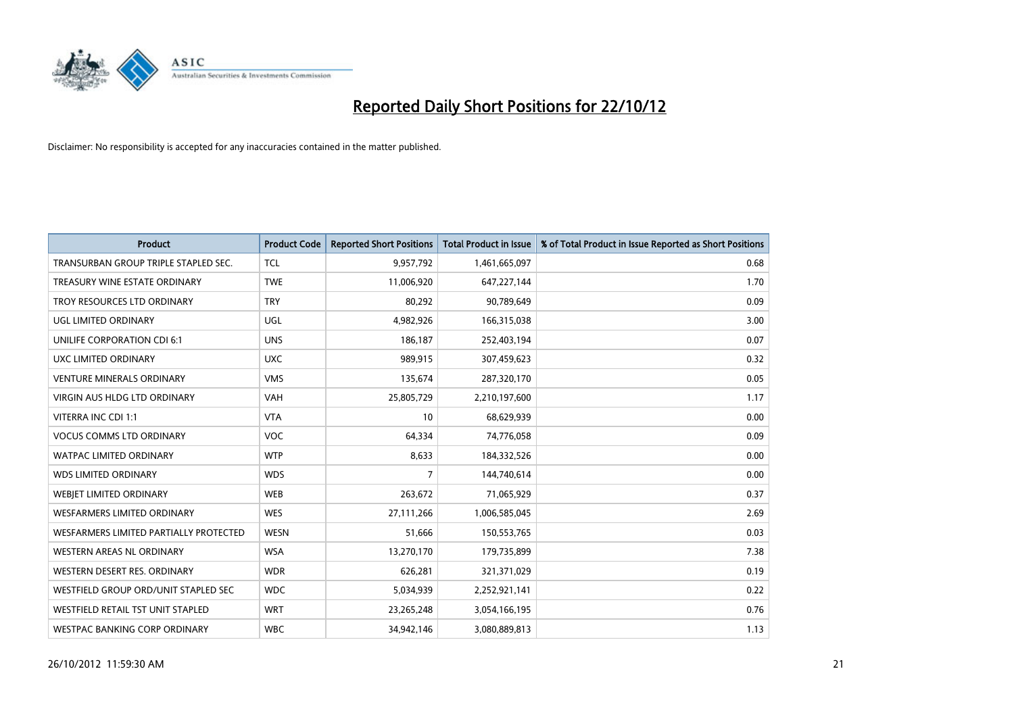

| <b>Product</b>                           | <b>Product Code</b> | <b>Reported Short Positions</b> | <b>Total Product in Issue</b> | % of Total Product in Issue Reported as Short Positions |
|------------------------------------------|---------------------|---------------------------------|-------------------------------|---------------------------------------------------------|
| TRANSURBAN GROUP TRIPLE STAPLED SEC.     | <b>TCL</b>          | 9,957,792                       | 1,461,665,097                 | 0.68                                                    |
| TREASURY WINE ESTATE ORDINARY            | <b>TWE</b>          | 11,006,920                      | 647,227,144                   | 1.70                                                    |
| TROY RESOURCES LTD ORDINARY              | <b>TRY</b>          | 80,292                          | 90,789,649                    | 0.09                                                    |
| UGL LIMITED ORDINARY                     | UGL                 | 4,982,926                       | 166,315,038                   | 3.00                                                    |
| UNILIFE CORPORATION CDI 6:1              | <b>UNS</b>          | 186,187                         | 252,403,194                   | 0.07                                                    |
| UXC LIMITED ORDINARY                     | <b>UXC</b>          | 989,915                         | 307,459,623                   | 0.32                                                    |
| <b>VENTURE MINERALS ORDINARY</b>         | <b>VMS</b>          | 135,674                         | 287,320,170                   | 0.05                                                    |
| <b>VIRGIN AUS HLDG LTD ORDINARY</b>      | <b>VAH</b>          | 25,805,729                      | 2,210,197,600                 | 1.17                                                    |
| VITERRA INC CDI 1:1                      | <b>VTA</b>          | 10                              | 68,629,939                    | 0.00                                                    |
| <b>VOCUS COMMS LTD ORDINARY</b>          | <b>VOC</b>          | 64,334                          | 74,776,058                    | 0.09                                                    |
| <b>WATPAC LIMITED ORDINARY</b>           | <b>WTP</b>          | 8,633                           | 184,332,526                   | 0.00                                                    |
| <b>WDS LIMITED ORDINARY</b>              | <b>WDS</b>          | 7                               | 144,740,614                   | 0.00                                                    |
| WEBIET LIMITED ORDINARY                  | <b>WEB</b>          | 263,672                         | 71,065,929                    | 0.37                                                    |
| <b>WESFARMERS LIMITED ORDINARY</b>       | <b>WES</b>          | 27,111,266                      | 1,006,585,045                 | 2.69                                                    |
| WESFARMERS LIMITED PARTIALLY PROTECTED   | <b>WESN</b>         | 51,666                          | 150,553,765                   | 0.03                                                    |
| <b>WESTERN AREAS NL ORDINARY</b>         | <b>WSA</b>          | 13,270,170                      | 179,735,899                   | 7.38                                                    |
| WESTERN DESERT RES. ORDINARY             | <b>WDR</b>          | 626,281                         | 321,371,029                   | 0.19                                                    |
| WESTFIELD GROUP ORD/UNIT STAPLED SEC     | <b>WDC</b>          | 5,034,939                       | 2,252,921,141                 | 0.22                                                    |
| <b>WESTFIELD RETAIL TST UNIT STAPLED</b> | <b>WRT</b>          | 23,265,248                      | 3,054,166,195                 | 0.76                                                    |
| WESTPAC BANKING CORP ORDINARY            | <b>WBC</b>          | 34.942.146                      | 3.080.889.813                 | 1.13                                                    |